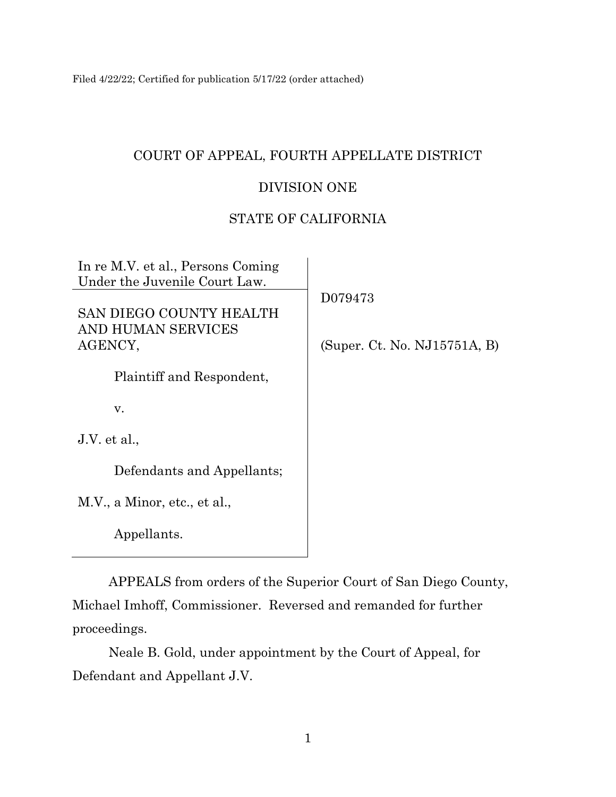Filed 4/22/22; Certified for publication 5/17/22 (order attached)

## COURT OF APPEAL, FOURTH APPELLATE DISTRICT

## DIVISION ONE

# STATE OF CALIFORNIA

| In re M.V. et al., Persons Coming<br>Under the Juvenile Court Law. |                                         |
|--------------------------------------------------------------------|-----------------------------------------|
| SAN DIEGO COUNTY HEALTH<br>AND HUMAN SERVICES<br>AGENCY,           | D079473<br>(Super. Ct. No. NJ15751A, B) |
| Plaintiff and Respondent,                                          |                                         |
| V.                                                                 |                                         |
| J.V. et al.,                                                       |                                         |
| Defendants and Appellants;                                         |                                         |
| M.V., a Minor, etc., et al.,                                       |                                         |
| Appellants.                                                        |                                         |

APPEALS from orders of the Superior Court of San Diego County, Michael Imhoff, Commissioner. Reversed and remanded for further proceedings.

Neale B. Gold, under appointment by the Court of Appeal, for Defendant and Appellant J.V.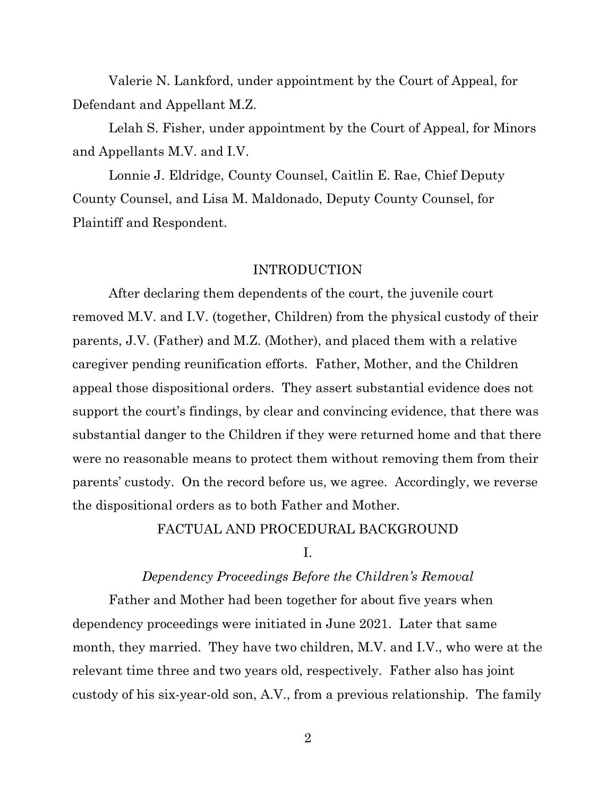Valerie N. Lankford, under appointment by the Court of Appeal, for Defendant and Appellant M.Z.

Lelah S. Fisher, under appointment by the Court of Appeal, for Minors and Appellants M.V. and I.V.

Lonnie J. Eldridge, County Counsel, Caitlin E. Rae, Chief Deputy County Counsel, and Lisa M. Maldonado, Deputy County Counsel, for Plaintiff and Respondent.

#### INTRODUCTION

After declaring them dependents of the court, the juvenile court removed M.V. and I.V. (together, Children) from the physical custody of their parents, J.V. (Father) and M.Z. (Mother), and placed them with a relative caregiver pending reunification efforts. Father, Mother, and the Children appeal those dispositional orders. They assert substantial evidence does not support the court's findings, by clear and convincing evidence, that there was substantial danger to the Children if they were returned home and that there were no reasonable means to protect them without removing them from their parents' custody. On the record before us, we agree. Accordingly, we reverse the dispositional orders as to both Father and Mother.

FACTUAL AND PROCEDURAL BACKGROUND

#### I.

#### *Dependency Proceedings Before the Children's Removal*

Father and Mother had been together for about five years when dependency proceedings were initiated in June 2021. Later that same month, they married. They have two children, M.V. and I.V., who were at the relevant time three and two years old, respectively. Father also has joint custody of his six-year-old son, A.V., from a previous relationship. The family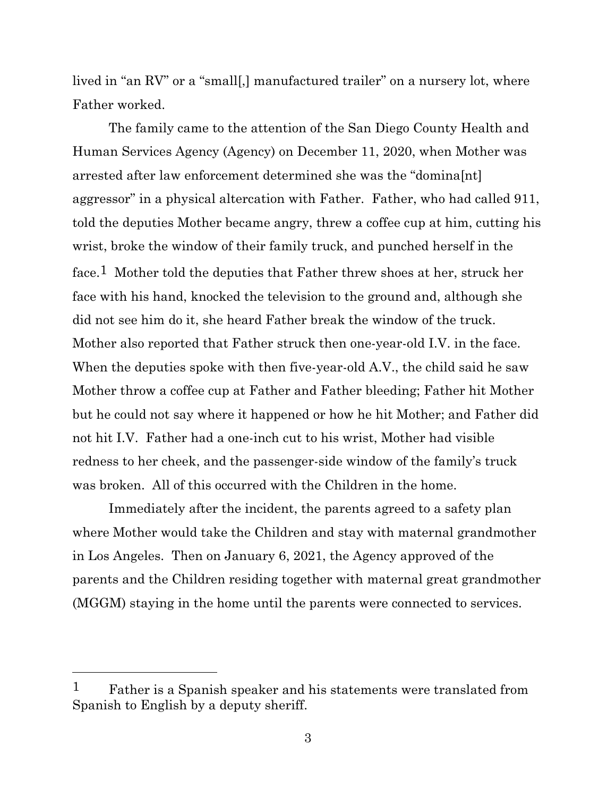lived in "an RV" or a "small[,] manufactured trailer" on a nursery lot, where Father worked.

The family came to the attention of the San Diego County Health and Human Services Agency (Agency) on December 11, 2020, when Mother was arrested after law enforcement determined she was the "domina[nt] aggressor" in a physical altercation with Father. Father, who had called 911, told the deputies Mother became angry, threw a coffee cup at him, cutting his wrist, broke the window of their family truck, and punched herself in the face.<sup>1</sup> Mother told the deputies that Father threw shoes at her, struck her face with his hand, knocked the television to the ground and, although she did not see him do it, she heard Father break the window of the truck. Mother also reported that Father struck then one-year-old I.V. in the face. When the deputies spoke with then five-year-old A.V., the child said he saw Mother throw a coffee cup at Father and Father bleeding; Father hit Mother but he could not say where it happened or how he hit Mother; and Father did not hit I.V. Father had a one-inch cut to his wrist, Mother had visible redness to her cheek, and the passenger-side window of the family's truck was broken. All of this occurred with the Children in the home.

Immediately after the incident, the parents agreed to a safety plan where Mother would take the Children and stay with maternal grandmother in Los Angeles. Then on January 6, 2021, the Agency approved of the parents and the Children residing together with maternal great grandmother (MGGM) staying in the home until the parents were connected to services.

<sup>&</sup>lt;sup>1</sup> Father is a Spanish speaker and his statements were translated from Spanish to English by a deputy sheriff.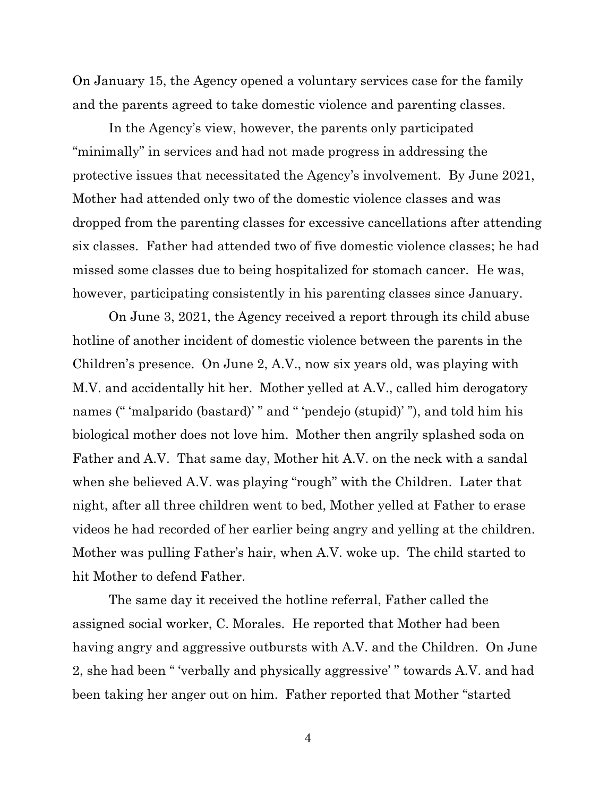On January 15, the Agency opened a voluntary services case for the family and the parents agreed to take domestic violence and parenting classes.

In the Agency's view, however, the parents only participated "minimally" in services and had not made progress in addressing the protective issues that necessitated the Agency's involvement. By June 2021, Mother had attended only two of the domestic violence classes and was dropped from the parenting classes for excessive cancellations after attending six classes. Father had attended two of five domestic violence classes; he had missed some classes due to being hospitalized for stomach cancer. He was, however, participating consistently in his parenting classes since January.

On June 3, 2021, the Agency received a report through its child abuse hotline of another incident of domestic violence between the parents in the Children's presence. On June 2, A.V., now six years old, was playing with M.V. and accidentally hit her. Mother yelled at A.V., called him derogatory names ("'malparido (bastard)' " and "'pendejo (stupid)' "), and told him his biological mother does not love him. Mother then angrily splashed soda on Father and A.V. That same day, Mother hit A.V. on the neck with a sandal when she believed A.V. was playing "rough" with the Children. Later that night, after all three children went to bed, Mother yelled at Father to erase videos he had recorded of her earlier being angry and yelling at the children. Mother was pulling Father's hair, when A.V. woke up. The child started to hit Mother to defend Father.

The same day it received the hotline referral, Father called the assigned social worker, C. Morales. He reported that Mother had been having angry and aggressive outbursts with A.V. and the Children. On June 2, she had been " 'verbally and physically aggressive' " towards A.V. and had been taking her anger out on him. Father reported that Mother "started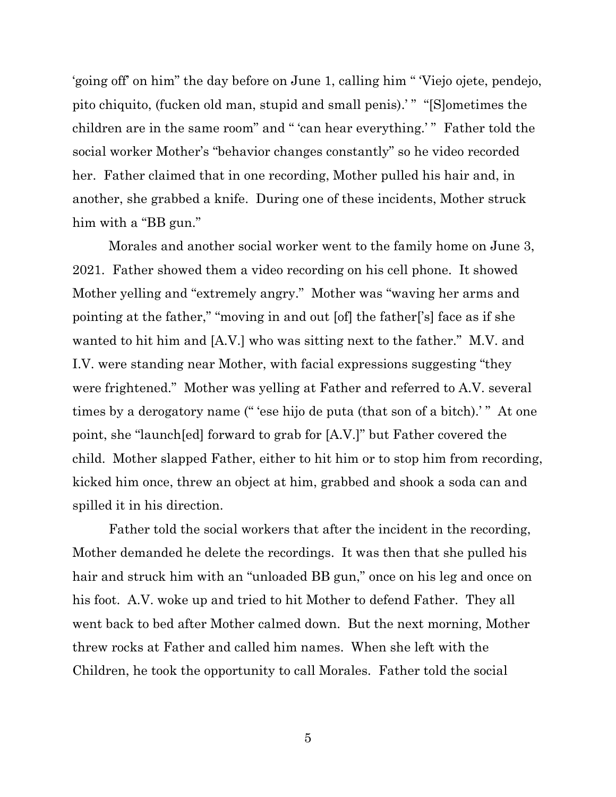'going off' on him" the day before on June 1, calling him " 'Viejo ojete, pendejo, pito chiquito, (fucken old man, stupid and small penis).' " "[S]ometimes the children are in the same room" and " 'can hear everything.' " Father told the social worker Mother's "behavior changes constantly" so he video recorded her. Father claimed that in one recording, Mother pulled his hair and, in another, she grabbed a knife. During one of these incidents, Mother struck him with a "BB gun."

Morales and another social worker went to the family home on June 3, 2021. Father showed them a video recording on his cell phone. It showed Mother yelling and "extremely angry." Mother was "waving her arms and pointing at the father," "moving in and out [of] the father['s] face as if she wanted to hit him and [A.V.] who was sitting next to the father." M.V. and I.V. were standing near Mother, with facial expressions suggesting "they were frightened." Mother was yelling at Father and referred to A.V. several times by a derogatory name (" 'ese hijo de puta (that son of a bitch).' "At one point, she "launch[ed] forward to grab for [A.V.]" but Father covered the child. Mother slapped Father, either to hit him or to stop him from recording, kicked him once, threw an object at him, grabbed and shook a soda can and spilled it in his direction.

Father told the social workers that after the incident in the recording, Mother demanded he delete the recordings. It was then that she pulled his hair and struck him with an "unloaded BB gun," once on his leg and once on his foot. A.V. woke up and tried to hit Mother to defend Father. They all went back to bed after Mother calmed down. But the next morning, Mother threw rocks at Father and called him names. When she left with the Children, he took the opportunity to call Morales. Father told the social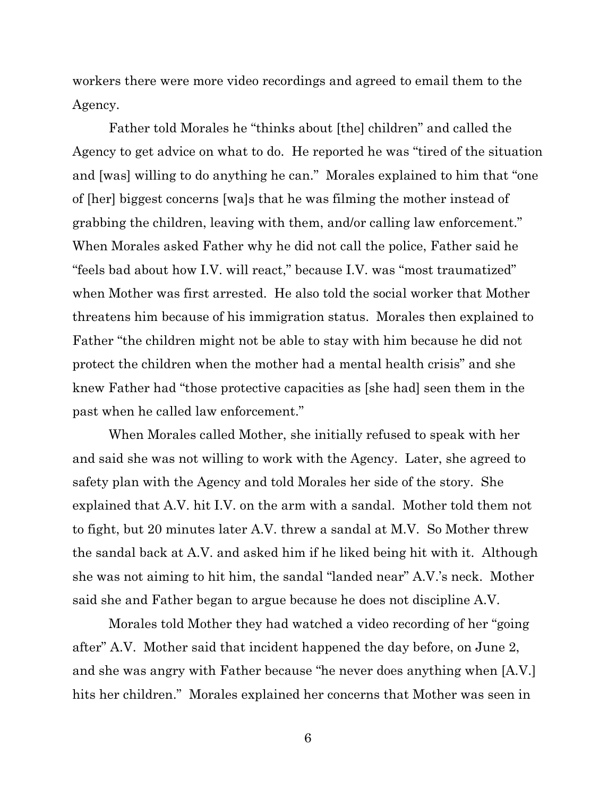workers there were more video recordings and agreed to email them to the Agency.

Father told Morales he "thinks about [the] children" and called the Agency to get advice on what to do. He reported he was "tired of the situation and [was] willing to do anything he can." Morales explained to him that "one of [her] biggest concerns [wa]s that he was filming the mother instead of grabbing the children, leaving with them, and/or calling law enforcement." When Morales asked Father why he did not call the police, Father said he "feels bad about how I.V. will react," because I.V. was "most traumatized" when Mother was first arrested. He also told the social worker that Mother threatens him because of his immigration status. Morales then explained to Father "the children might not be able to stay with him because he did not protect the children when the mother had a mental health crisis" and she knew Father had "those protective capacities as [she had] seen them in the past when he called law enforcement."

When Morales called Mother, she initially refused to speak with her and said she was not willing to work with the Agency. Later, she agreed to safety plan with the Agency and told Morales her side of the story. She explained that A.V. hit I.V. on the arm with a sandal. Mother told them not to fight, but 20 minutes later A.V. threw a sandal at M.V. So Mother threw the sandal back at A.V. and asked him if he liked being hit with it. Although she was not aiming to hit him, the sandal "landed near" A.V.'s neck. Mother said she and Father began to argue because he does not discipline A.V.

Morales told Mother they had watched a video recording of her "going after" A.V. Mother said that incident happened the day before, on June 2, and she was angry with Father because "he never does anything when [A.V.] hits her children." Morales explained her concerns that Mother was seen in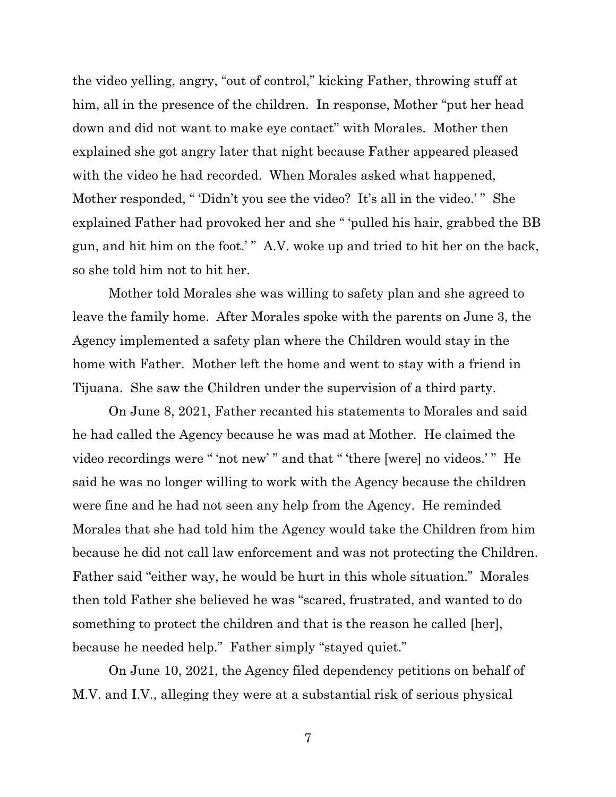the video yelling, angry, "out of control," kicking Father, throwing stuff at him, all in the presence of the children. In response, Mother "put her head down and did not want to make eye contact" with Morales. Mother then explained she got angry later that night because Father appeared pleased with the video he had recorded. When Morales asked what happened, Mother responded, "Didn't you see the video? It's all in the video.'" She explained Father had provoked her and she " 'pulled his hair, grabbed the BB gun, and hit him on the foot.' " A.V. woke up and tried to hit her on the back, so she told him not to hit her.

Mother told Morales she was willing to safety plan and she agreed to leave the family home. After Morales spoke with the parents on June 3, the Agency implemented a safety plan where the Children would stay in the home with Father. Mother left the home and went to stay with a friend in Tijuana. She saw the Children under the supervision of a third party.

On June 8, 2021, Father recanted his statements to Morales and said he had called the Agency because he was mad at Mother. He claimed the video recordings were "'not new'" and that "'there [were] no videos.'" He said he was no longer willing to work with the Agency because the children were fine and he had not seen any help from the Agency. He reminded Morales that she had told him the Agency would take the Children from him because he did not call law enforcement and was not protecting the Children. Father said "either way, he would be hurt in this whole situation." Morales then told Father she believed he was "scared, frustrated, and wanted to do something to protect the children and that is the reason he called [her], because he needed help." Father simply "stayed quiet."

On June 10, 2021, the Agency filed dependency petitions on behalf of M.V. and I.V., alleging they were at a substantial risk of serious physical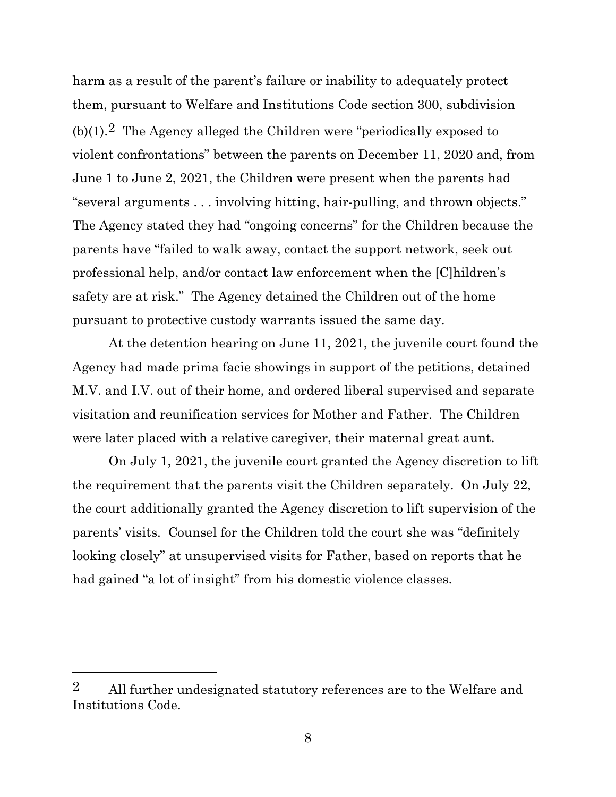harm as a result of the parent's failure or inability to adequately protect them, pursuant to Welfare and Institutions Code section 300, subdivision  $(b)(1).<sup>2</sup>$  The Agency alleged the Children were "periodically exposed to violent confrontations" between the parents on December 11, 2020 and, from June 1 to June 2, 2021, the Children were present when the parents had "several arguments . . . involving hitting, hair-pulling, and thrown objects." The Agency stated they had "ongoing concerns" for the Children because the parents have "failed to walk away, contact the support network, seek out professional help, and/or contact law enforcement when the [C]hildren's safety are at risk." The Agency detained the Children out of the home pursuant to protective custody warrants issued the same day.

At the detention hearing on June 11, 2021, the juvenile court found the Agency had made prima facie showings in support of the petitions, detained M.V. and I.V. out of their home, and ordered liberal supervised and separate visitation and reunification services for Mother and Father. The Children were later placed with a relative caregiver, their maternal great aunt.

On July 1, 2021, the juvenile court granted the Agency discretion to lift the requirement that the parents visit the Children separately. On July 22, the court additionally granted the Agency discretion to lift supervision of the parents' visits. Counsel for the Children told the court she was "definitely looking closely" at unsupervised visits for Father, based on reports that he had gained "a lot of insight" from his domestic violence classes.

<sup>2</sup> All further undesignated statutory references are to the Welfare and Institutions Code.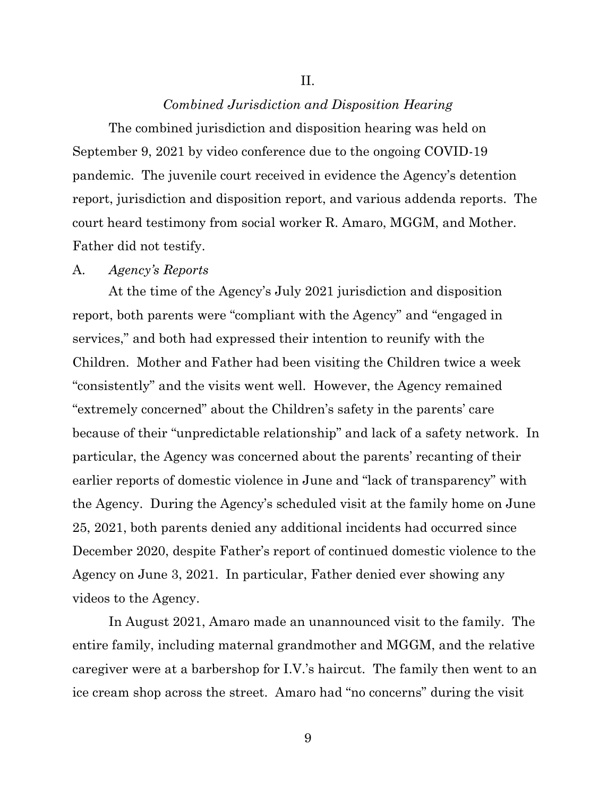#### II.

### *Combined Jurisdiction and Disposition Hearing*

The combined jurisdiction and disposition hearing was held on September 9, 2021 by video conference due to the ongoing COVID-19 pandemic. The juvenile court received in evidence the Agency's detention report, jurisdiction and disposition report, and various addenda reports. The court heard testimony from social worker R. Amaro, MGGM, and Mother. Father did not testify.

#### A. *Agency's Reports*

At the time of the Agency's July 2021 jurisdiction and disposition report, both parents were "compliant with the Agency" and "engaged in services," and both had expressed their intention to reunify with the Children. Mother and Father had been visiting the Children twice a week "consistently" and the visits went well. However, the Agency remained "extremely concerned" about the Children's safety in the parents' care because of their "unpredictable relationship" and lack of a safety network. In particular, the Agency was concerned about the parents' recanting of their earlier reports of domestic violence in June and "lack of transparency" with the Agency. During the Agency's scheduled visit at the family home on June 25, 2021, both parents denied any additional incidents had occurred since December 2020, despite Father's report of continued domestic violence to the Agency on June 3, 2021. In particular, Father denied ever showing any videos to the Agency.

In August 2021, Amaro made an unannounced visit to the family. The entire family, including maternal grandmother and MGGM, and the relative caregiver were at a barbershop for I.V.'s haircut. The family then went to an ice cream shop across the street. Amaro had "no concerns" during the visit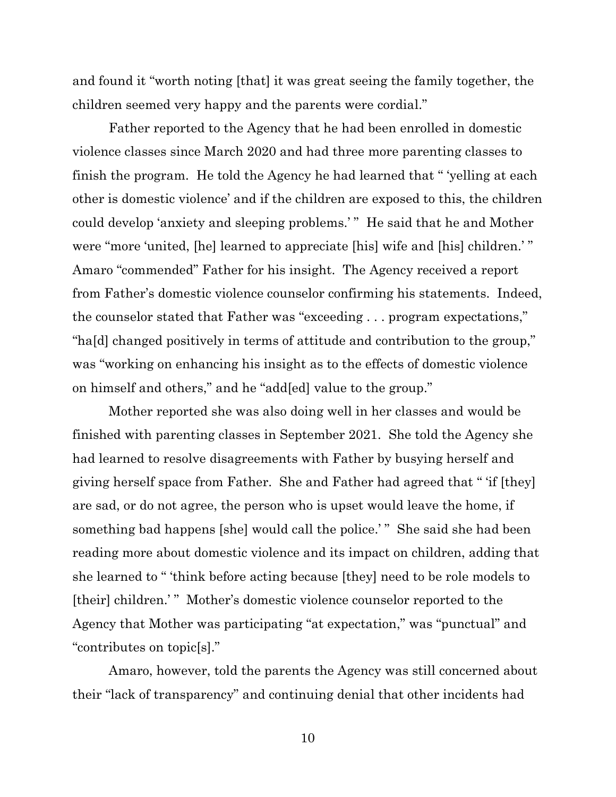and found it "worth noting [that] it was great seeing the family together, the children seemed very happy and the parents were cordial."

Father reported to the Agency that he had been enrolled in domestic violence classes since March 2020 and had three more parenting classes to finish the program. He told the Agency he had learned that " 'yelling at each other is domestic violence' and if the children are exposed to this, the children could develop 'anxiety and sleeping problems.' "He said that he and Mother were "more 'united, [he] learned to appreciate [his] wife and [his] children.' " Amaro "commended" Father for his insight. The Agency received a report from Father's domestic violence counselor confirming his statements. Indeed, the counselor stated that Father was "exceeding . . . program expectations," "ha[d] changed positively in terms of attitude and contribution to the group," was "working on enhancing his insight as to the effects of domestic violence on himself and others," and he "add[ed] value to the group."

Mother reported she was also doing well in her classes and would be finished with parenting classes in September 2021. She told the Agency she had learned to resolve disagreements with Father by busying herself and giving herself space from Father. She and Father had agreed that " 'if [they] are sad, or do not agree, the person who is upset would leave the home, if something bad happens [she] would call the police.'" She said she had been reading more about domestic violence and its impact on children, adding that she learned to " 'think before acting because [they] need to be role models to [their] children.'" Mother's domestic violence counselor reported to the Agency that Mother was participating "at expectation," was "punctual" and "contributes on topic[s]."

Amaro, however, told the parents the Agency was still concerned about their "lack of transparency" and continuing denial that other incidents had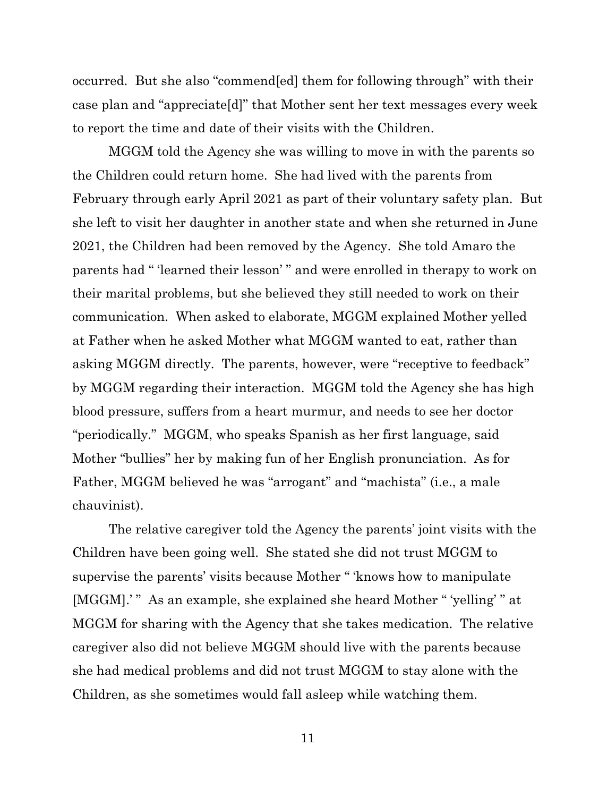occurred. But she also "commend[ed] them for following through" with their case plan and "appreciate[d]" that Mother sent her text messages every week to report the time and date of their visits with the Children.

MGGM told the Agency she was willing to move in with the parents so the Children could return home. She had lived with the parents from February through early April 2021 as part of their voluntary safety plan. But she left to visit her daughter in another state and when she returned in June 2021, the Children had been removed by the Agency. She told Amaro the parents had " 'learned their lesson' " and were enrolled in therapy to work on their marital problems, but she believed they still needed to work on their communication. When asked to elaborate, MGGM explained Mother yelled at Father when he asked Mother what MGGM wanted to eat, rather than asking MGGM directly. The parents, however, were "receptive to feedback" by MGGM regarding their interaction. MGGM told the Agency she has high blood pressure, suffers from a heart murmur, and needs to see her doctor "periodically." MGGM, who speaks Spanish as her first language, said Mother "bullies" her by making fun of her English pronunciation. As for Father, MGGM believed he was "arrogant" and "machista" (i.e., a male chauvinist).

The relative caregiver told the Agency the parents' joint visits with the Children have been going well. She stated she did not trust MGGM to supervise the parents' visits because Mother " 'knows how to manipulate [MGGM].' " As an example, she explained she heard Mother " 'yelling' " at MGGM for sharing with the Agency that she takes medication. The relative caregiver also did not believe MGGM should live with the parents because she had medical problems and did not trust MGGM to stay alone with the Children, as she sometimes would fall asleep while watching them.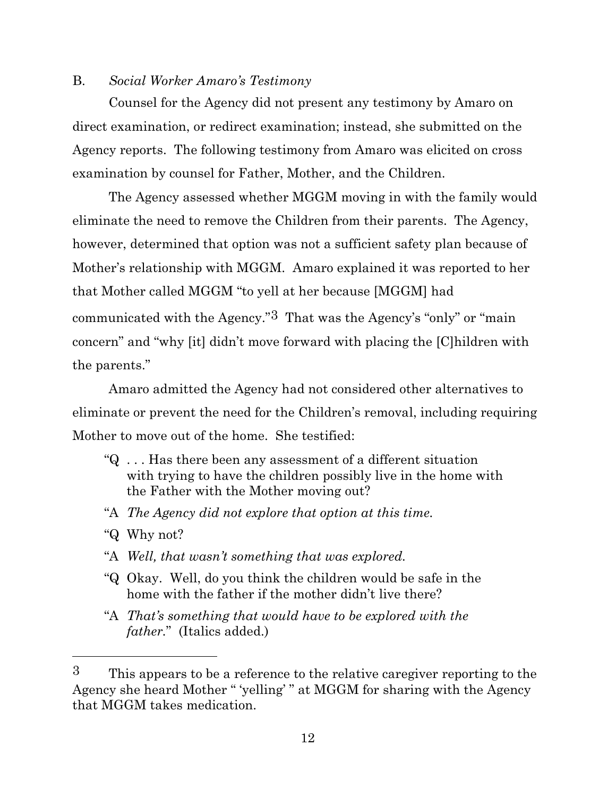#### B. *Social Worker Amaro's Testimony*

Counsel for the Agency did not present any testimony by Amaro on direct examination, or redirect examination; instead, she submitted on the Agency reports. The following testimony from Amaro was elicited on cross examination by counsel for Father, Mother, and the Children.

The Agency assessed whether MGGM moving in with the family would eliminate the need to remove the Children from their parents. The Agency, however, determined that option was not a sufficient safety plan because of Mother's relationship with MGGM. Amaro explained it was reported to her that Mother called MGGM "to yell at her because [MGGM] had communicated with the Agency."3 That was the Agency's "only" or "main concern" and "why [it] didn't move forward with placing the [C]hildren with the parents."

Amaro admitted the Agency had not considered other alternatives to eliminate or prevent the need for the Children's removal, including requiring Mother to move out of the home. She testified:

- "Q . . . Has there been any assessment of a different situation with trying to have the children possibly live in the home with the Father with the Mother moving out?
- "A *The Agency did not explore that option at this time.*
- "Q Why not?
- "A *Well, that wasn't something that was explored.*
- "Q Okay. Well, do you think the children would be safe in the home with the father if the mother didn't live there?
- "A *That's something that would have to be explored with the father.*" (Italics added.)

<sup>3</sup> This appears to be a reference to the relative caregiver reporting to the Agency she heard Mother " 'yelling' " at MGGM for sharing with the Agency that MGGM takes medication.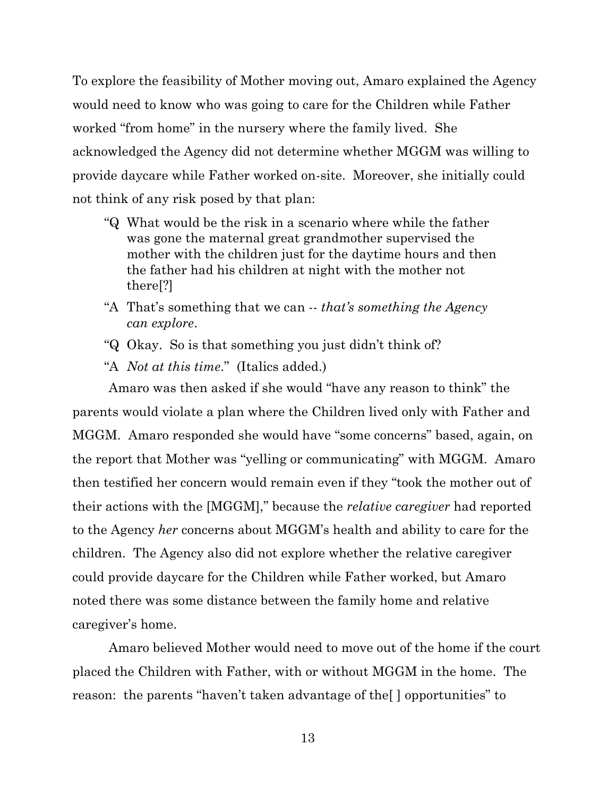To explore the feasibility of Mother moving out, Amaro explained the Agency would need to know who was going to care for the Children while Father worked "from home" in the nursery where the family lived. She acknowledged the Agency did not determine whether MGGM was willing to provide daycare while Father worked on-site. Moreover, she initially could not think of any risk posed by that plan:

- "Q What would be the risk in a scenario where while the father was gone the maternal great grandmother supervised the mother with the children just for the daytime hours and then the father had his children at night with the mother not there[?]
- "A That's something that we can -- *that's something the Agency can explore*.
- "Q Okay. So is that something you just didn't think of?
- "A *Not at this time*." (Italics added.)

Amaro was then asked if she would "have any reason to think" the parents would violate a plan where the Children lived only with Father and MGGM. Amaro responded she would have "some concerns" based, again, on the report that Mother was "yelling or communicating" with MGGM. Amaro then testified her concern would remain even if they "took the mother out of their actions with the [MGGM]," because the *relative caregiver* had reported to the Agency *her* concerns about MGGM's health and ability to care for the children. The Agency also did not explore whether the relative caregiver could provide daycare for the Children while Father worked, but Amaro noted there was some distance between the family home and relative caregiver's home.

Amaro believed Mother would need to move out of the home if the court placed the Children with Father, with or without MGGM in the home. The reason: the parents "haven't taken advantage of the[ ] opportunities" to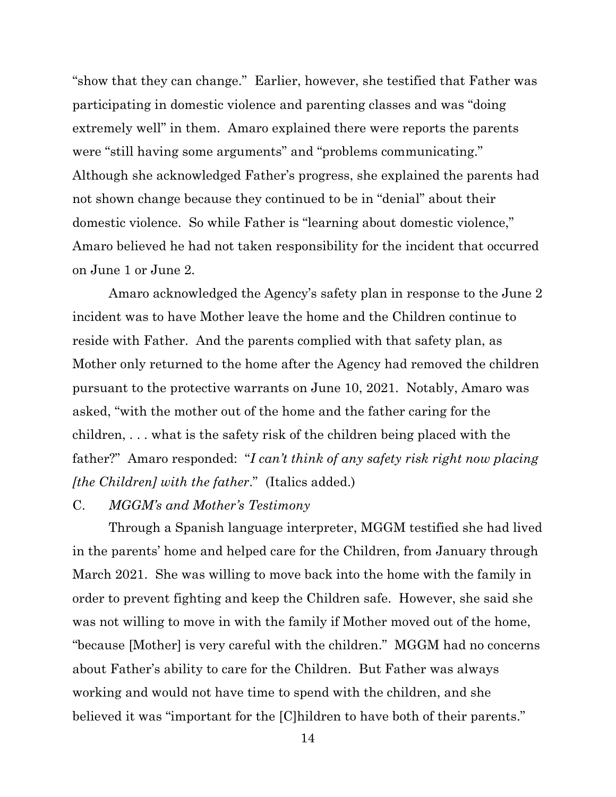"show that they can change." Earlier, however, she testified that Father was participating in domestic violence and parenting classes and was "doing extremely well" in them. Amaro explained there were reports the parents were "still having some arguments" and "problems communicating." Although she acknowledged Father's progress, she explained the parents had not shown change because they continued to be in "denial" about their domestic violence. So while Father is "learning about domestic violence," Amaro believed he had not taken responsibility for the incident that occurred on June 1 or June 2.

Amaro acknowledged the Agency's safety plan in response to the June 2 incident was to have Mother leave the home and the Children continue to reside with Father. And the parents complied with that safety plan, as Mother only returned to the home after the Agency had removed the children pursuant to the protective warrants on June 10, 2021. Notably, Amaro was asked, "with the mother out of the home and the father caring for the children, . . . what is the safety risk of the children being placed with the father?" Amaro responded: "*I can't think of any safety risk right now placing [the Children] with the father*." (Italics added.)

## C. *MGGM's and Mother's Testimony*

Through a Spanish language interpreter, MGGM testified she had lived in the parents' home and helped care for the Children, from January through March 2021. She was willing to move back into the home with the family in order to prevent fighting and keep the Children safe. However, she said she was not willing to move in with the family if Mother moved out of the home, "because [Mother] is very careful with the children." MGGM had no concerns about Father's ability to care for the Children. But Father was always working and would not have time to spend with the children, and she believed it was "important for the [C]hildren to have both of their parents."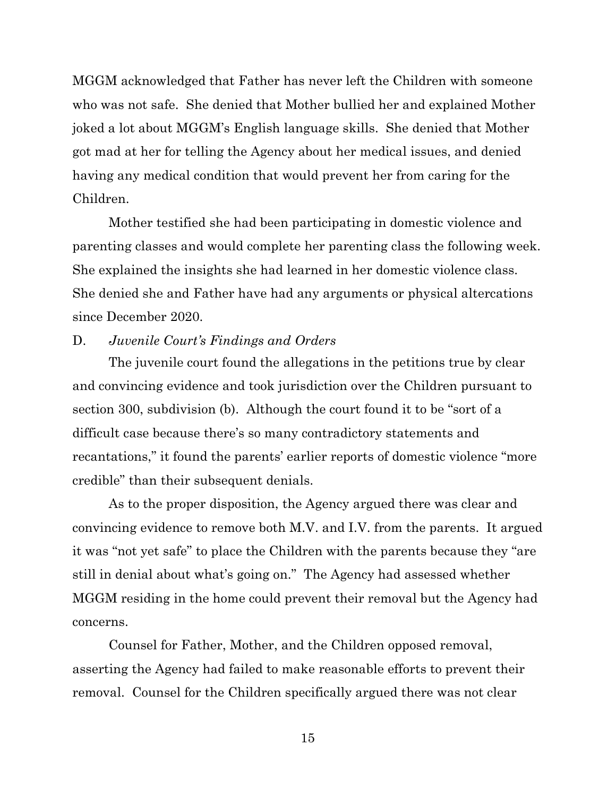MGGM acknowledged that Father has never left the Children with someone who was not safe. She denied that Mother bullied her and explained Mother joked a lot about MGGM's English language skills. She denied that Mother got mad at her for telling the Agency about her medical issues, and denied having any medical condition that would prevent her from caring for the Children.

Mother testified she had been participating in domestic violence and parenting classes and would complete her parenting class the following week. She explained the insights she had learned in her domestic violence class. She denied she and Father have had any arguments or physical altercations since December 2020.

#### D. *Juvenile Court's Findings and Orders*

 The juvenile court found the allegations in the petitions true by clear and convincing evidence and took jurisdiction over the Children pursuant to section 300, subdivision (b). Although the court found it to be "sort of a difficult case because there's so many contradictory statements and recantations," it found the parents' earlier reports of domestic violence "more credible" than their subsequent denials.

As to the proper disposition, the Agency argued there was clear and convincing evidence to remove both M.V. and I.V. from the parents. It argued it was "not yet safe" to place the Children with the parents because they "are still in denial about what's going on." The Agency had assessed whether MGGM residing in the home could prevent their removal but the Agency had concerns.

Counsel for Father, Mother, and the Children opposed removal, asserting the Agency had failed to make reasonable efforts to prevent their removal. Counsel for the Children specifically argued there was not clear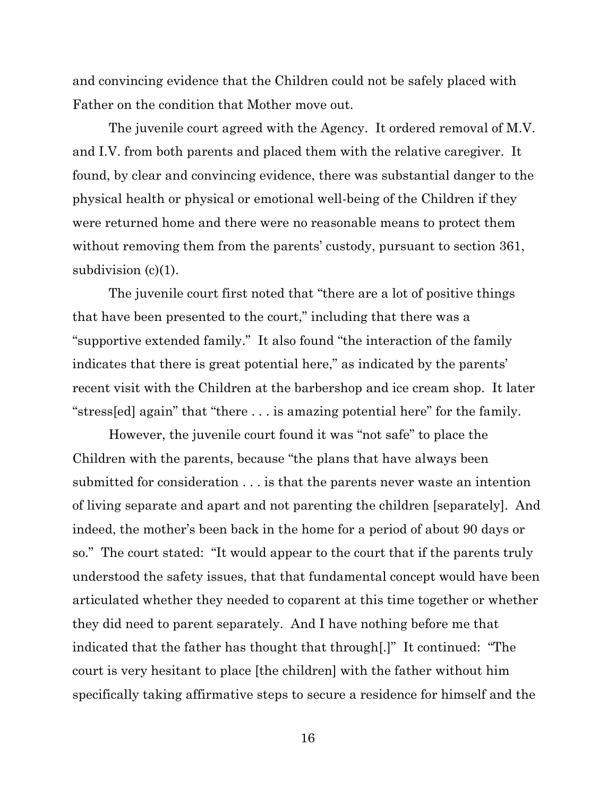and convincing evidence that the Children could not be safely placed with Father on the condition that Mother move out.

The juvenile court agreed with the Agency. It ordered removal of M.V. and I.V. from both parents and placed them with the relative caregiver. It found, by clear and convincing evidence, there was substantial danger to the physical health or physical or emotional well-being of the Children if they were returned home and there were no reasonable means to protect them without removing them from the parents' custody, pursuant to section 361, subdivision  $(c)(1)$ .

The juvenile court first noted that "there are a lot of positive things that have been presented to the court," including that there was a "supportive extended family." It also found "the interaction of the family indicates that there is great potential here," as indicated by the parents' recent visit with the Children at the barbershop and ice cream shop. It later "stress[ed] again" that "there . . . is amazing potential here" for the family.

However, the juvenile court found it was "not safe" to place the Children with the parents, because "the plans that have always been submitted for consideration . . . is that the parents never waste an intention of living separate and apart and not parenting the children [separately]. And indeed, the mother's been back in the home for a period of about 90 days or so." The court stated: "It would appear to the court that if the parents truly understood the safety issues, that that fundamental concept would have been articulated whether they needed to coparent at this time together or whether they did need to parent separately. And I have nothing before me that indicated that the father has thought that through[.]" It continued: "The court is very hesitant to place [the children] with the father without him specifically taking affirmative steps to secure a residence for himself and the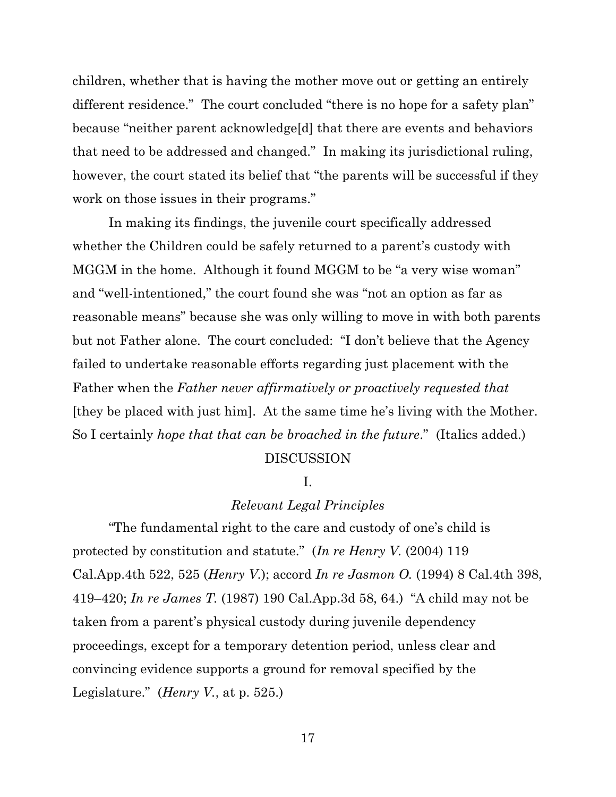children, whether that is having the mother move out or getting an entirely different residence." The court concluded "there is no hope for a safety plan" because "neither parent acknowledge[d] that there are events and behaviors that need to be addressed and changed." In making its jurisdictional ruling, however, the court stated its belief that "the parents will be successful if they work on those issues in their programs."

In making its findings, the juvenile court specifically addressed whether the Children could be safely returned to a parent's custody with MGGM in the home. Although it found MGGM to be "a very wise woman" and "well-intentioned," the court found she was "not an option as far as reasonable means" because she was only willing to move in with both parents but not Father alone. The court concluded: "I don't believe that the Agency failed to undertake reasonable efforts regarding just placement with the Father when the *Father never affirmatively or proactively requested that* [they be placed with just him]. At the same time he's living with the Mother. So I certainly *hope that that can be broached in the future*." (Italics added.)

#### DISCUSSION

## I.

## *Relevant Legal Principles*

"The fundamental right to the care and custody of one's child is protected by constitution and statute." (*In re Henry V.* (2004) 119 Cal.App.4th 522, 525 (*Henry V.*); accord *In re Jasmon O.* (1994) 8 Cal.4th 398, 419–420; *In re James T.* (1987) 190 Cal.App.3d 58, 64.) "A child may not be taken from a parent's physical custody during juvenile dependency proceedings, except for a temporary detention period, unless clear and convincing evidence supports a ground for removal specified by the Legislature." (*Henry V.*, at p. 525.)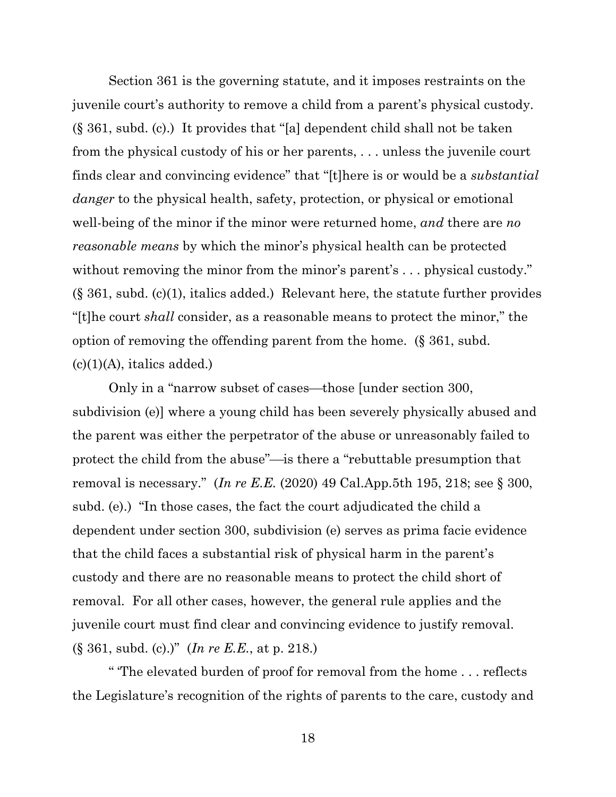Section 361 is the governing statute, and it imposes restraints on the juvenile court's authority to remove a child from a parent's physical custody. (§ 361, subd. (c).) It provides that "[a] dependent child shall not be taken from the physical custody of his or her parents, . . . unless the juvenile court finds clear and convincing evidence" that "[t]here is or would be a *substantial danger* to the physical health, safety, protection, or physical or emotional well-being of the minor if the minor were returned home, *and* there are *no reasonable means* by which the minor's physical health can be protected without removing the minor from the minor's parent's ... physical custody."  $(\S 361, \text{subd. (c)}(1), \text{italics added.})$  Relevant here, the statute further provides "[t]he court *shall* consider, as a reasonable means to protect the minor," the option of removing the offending parent from the home. (§ 361, subd.  $(c)(1)(A)$ , italics added.)

Only in a "narrow subset of cases—those [under section 300, subdivision (e)] where a young child has been severely physically abused and the parent was either the perpetrator of the abuse or unreasonably failed to protect the child from the abuse"—is there a "rebuttable presumption that removal is necessary." (*In re E.E.* (2020) 49 Cal.App.5th 195, 218; see § 300, subd. (e).) "In those cases, the fact the court adjudicated the child a dependent under section 300, subdivision (e) serves as prima facie evidence that the child faces a substantial risk of physical harm in the parent's custody and there are no reasonable means to protect the child short of removal. For all other cases, however, the general rule applies and the juvenile court must find clear and convincing evidence to justify removal. (§ 361, subd. (c).)" (*In re E.E.*, at p. 218.)

" 'The elevated burden of proof for removal from the home . . . reflects the Legislature's recognition of the rights of parents to the care, custody and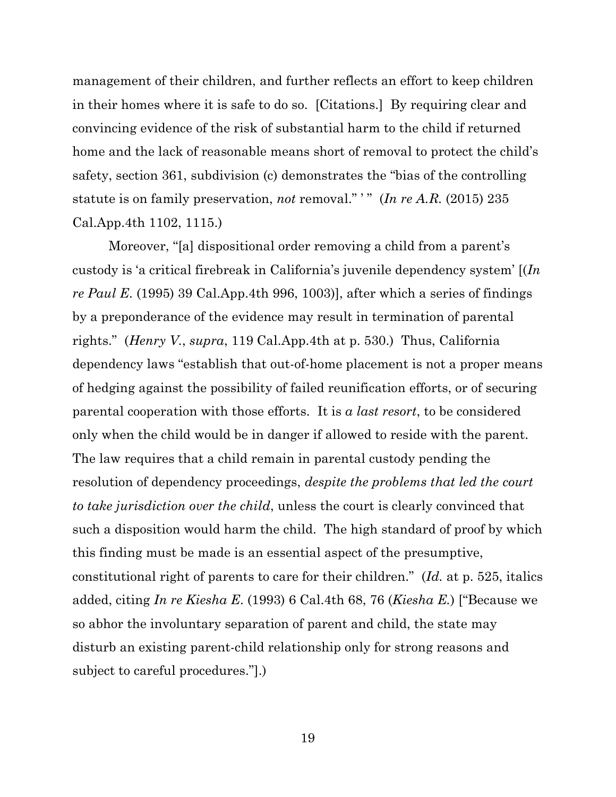management of their children, and further reflects an effort to keep children in their homes where it is safe to do so. [Citations.] By requiring clear and convincing evidence of the risk of substantial harm to the child if returned home and the lack of reasonable means short of removal to protect the child's safety, section 361, subdivision (c) demonstrates the "bias of the controlling statute is on family preservation, *not* removal." " (*In re A.R.* (2015) 235 Cal.App.4th 1102, 1115.)

Moreover, "[a] dispositional order removing a child from a parent's custody is 'a critical firebreak in California's juvenile dependency system' [(*In re Paul E*. (1995) 39 Cal.App.4th 996, 1003)], after which a series of findings by a preponderance of the evidence may result in termination of parental rights." (*Henry V.*, *supra*, 119 Cal.App.4th at p. 530.) Thus, California dependency laws "establish that out-of-home placement is not a proper means of hedging against the possibility of failed reunification efforts, or of securing parental cooperation with those efforts. It is *a last resort*, to be considered only when the child would be in danger if allowed to reside with the parent. The law requires that a child remain in parental custody pending the resolution of dependency proceedings, *despite the problems that led the court to take jurisdiction over the child*, unless the court is clearly convinced that such a disposition would harm the child. The high standard of proof by which this finding must be made is an essential aspect of the presumptive, constitutional right of parents to care for their children." (*Id.* at p. 525, italics added, citing *In re Kiesha E*. (1993) 6 Cal.4th 68, 76 (*Kiesha E.*) ["Because we so abhor the involuntary separation of parent and child, the state may disturb an existing parent-child relationship only for strong reasons and subject to careful procedures."].)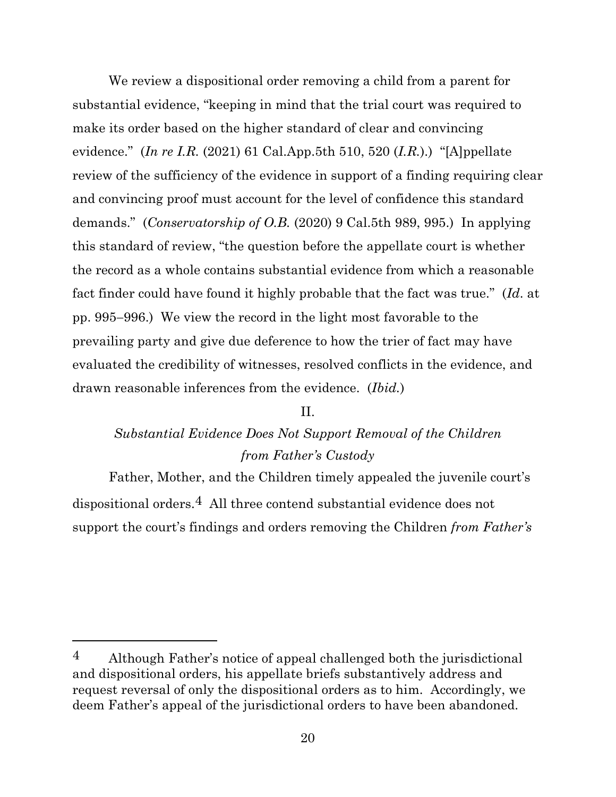We review a dispositional order removing a child from a parent for substantial evidence, "keeping in mind that the trial court was required to make its order based on the higher standard of clear and convincing evidence." (*In re I.R.* (2021) 61 Cal.App.5th 510, 520 (*I.R.*).) "[A]ppellate review of the sufficiency of the evidence in support of a finding requiring clear and convincing proof must account for the level of confidence this standard demands." (*Conservatorship of O.B.* (2020) 9 Cal.5th 989, 995.) In applying this standard of review, "the question before the appellate court is whether the record as a whole contains substantial evidence from which a reasonable fact finder could have found it highly probable that the fact was true." (*Id*. at pp. 995−996.) We view the record in the light most favorable to the prevailing party and give due deference to how the trier of fact may have evaluated the credibility of witnesses, resolved conflicts in the evidence, and drawn reasonable inferences from the evidence. (*Ibid.*)

## II.

# *Substantial Evidence Does Not Support Removal of the Children from Father's Custody*

Father, Mother, and the Children timely appealed the juvenile court's dispositional orders.4 All three contend substantial evidence does not support the court's findings and orders removing the Children *from Father's*

<sup>&</sup>lt;sup>4</sup> Although Father's notice of appeal challenged both the jurisdictional and dispositional orders, his appellate briefs substantively address and request reversal of only the dispositional orders as to him. Accordingly, we deem Father's appeal of the jurisdictional orders to have been abandoned.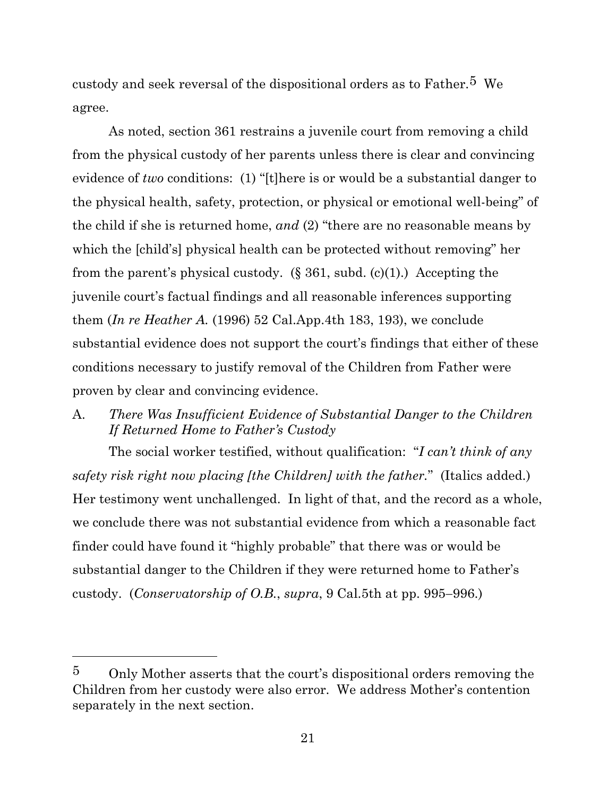custody and seek reversal of the dispositional orders as to Father.5 We agree.

As noted, section 361 restrains a juvenile court from removing a child from the physical custody of her parents unless there is clear and convincing evidence of *two* conditions: (1) "[t]here is or would be a substantial danger to the physical health, safety, protection, or physical or emotional well-being" of the child if she is returned home, *and* (2) "there are no reasonable means by which the [child's] physical health can be protected without removing" her from the parent's physical custody.  $(\S 361, \text{subd.} (c)(1))$ . Accepting the juvenile court's factual findings and all reasonable inferences supporting them (*In re Heather A.* (1996) 52 Cal.App.4th 183, 193), we conclude substantial evidence does not support the court's findings that either of these conditions necessary to justify removal of the Children from Father were proven by clear and convincing evidence.

A. *There Was Insufficient Evidence of Substantial Danger to the Children If Returned Home to Father's Custody*

The social worker testified, without qualification: "*I can't think of any safety risk right now placing [the Children] with the father.*" (Italics added.) Her testimony went unchallenged. In light of that, and the record as a whole, we conclude there was not substantial evidence from which a reasonable fact finder could have found it "highly probable" that there was or would be substantial danger to the Children if they were returned home to Father's custody. (*Conservatorship of O.B.*, *supra*, 9 Cal.5th at pp. 995−996.)

<sup>5</sup> Only Mother asserts that the court's dispositional orders removing the Children from her custody were also error. We address Mother's contention separately in the next section.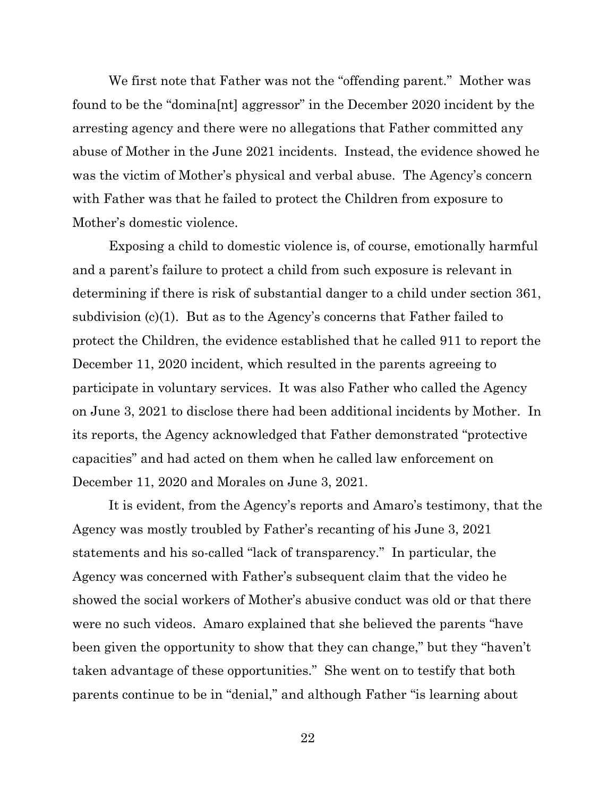We first note that Father was not the "offending parent." Mother was found to be the "domina[nt] aggressor" in the December 2020 incident by the arresting agency and there were no allegations that Father committed any abuse of Mother in the June 2021 incidents. Instead, the evidence showed he was the victim of Mother's physical and verbal abuse. The Agency's concern with Father was that he failed to protect the Children from exposure to Mother's domestic violence.

Exposing a child to domestic violence is, of course, emotionally harmful and a parent's failure to protect a child from such exposure is relevant in determining if there is risk of substantial danger to a child under section 361, subdivision (c)(1). But as to the Agency's concerns that Father failed to protect the Children, the evidence established that he called 911 to report the December 11, 2020 incident, which resulted in the parents agreeing to participate in voluntary services. It was also Father who called the Agency on June 3, 2021 to disclose there had been additional incidents by Mother. In its reports, the Agency acknowledged that Father demonstrated "protective capacities" and had acted on them when he called law enforcement on December 11, 2020 and Morales on June 3, 2021.

It is evident, from the Agency's reports and Amaro's testimony, that the Agency was mostly troubled by Father's recanting of his June 3, 2021 statements and his so-called "lack of transparency." In particular, the Agency was concerned with Father's subsequent claim that the video he showed the social workers of Mother's abusive conduct was old or that there were no such videos. Amaro explained that she believed the parents "have been given the opportunity to show that they can change," but they "haven't taken advantage of these opportunities." She went on to testify that both parents continue to be in "denial," and although Father "is learning about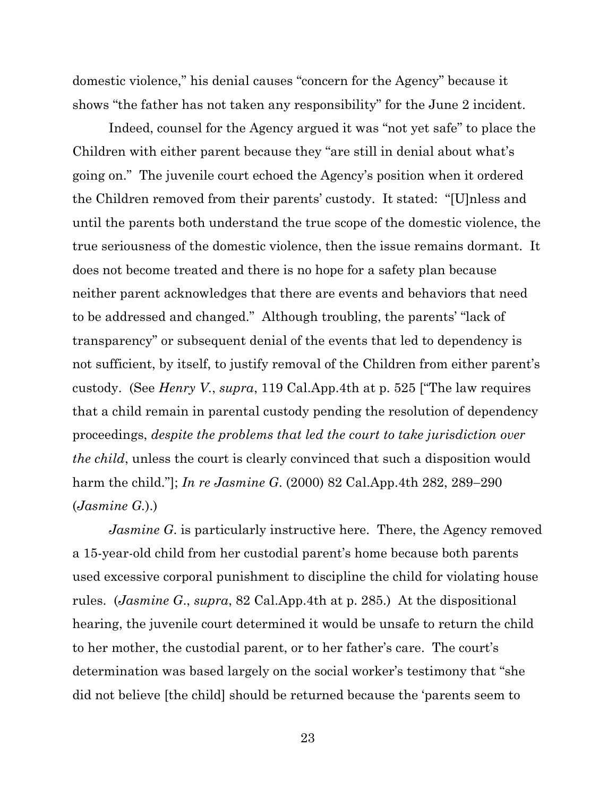domestic violence," his denial causes "concern for the Agency" because it shows "the father has not taken any responsibility" for the June 2 incident.

Indeed, counsel for the Agency argued it was "not yet safe" to place the Children with either parent because they "are still in denial about what's going on." The juvenile court echoed the Agency's position when it ordered the Children removed from their parents' custody. It stated: "[U]nless and until the parents both understand the true scope of the domestic violence, the true seriousness of the domestic violence, then the issue remains dormant. It does not become treated and there is no hope for a safety plan because neither parent acknowledges that there are events and behaviors that need to be addressed and changed." Although troubling, the parents' "lack of transparency" or subsequent denial of the events that led to dependency is not sufficient, by itself, to justify removal of the Children from either parent's custody. (See *Henry V.*, *supra*, 119 Cal.App.4th at p. 525 ["The law requires that a child remain in parental custody pending the resolution of dependency proceedings, *despite the problems that led the court to take jurisdiction over the child*, unless the court is clearly convinced that such a disposition would harm the child."]; *In re Jasmine G*. (2000) 82 Cal.App.4th 282, 289−290 (*Jasmine G.*).)

*Jasmine G.* is particularly instructive here. There, the Agency removed a 15-year-old child from her custodial parent's home because both parents used excessive corporal punishment to discipline the child for violating house rules. (*Jasmine G*., *supra*, 82 Cal.App.4th at p. 285.) At the dispositional hearing, the juvenile court determined it would be unsafe to return the child to her mother, the custodial parent, or to her father's care. The court's determination was based largely on the social worker's testimony that "she did not believe [the child] should be returned because the 'parents seem to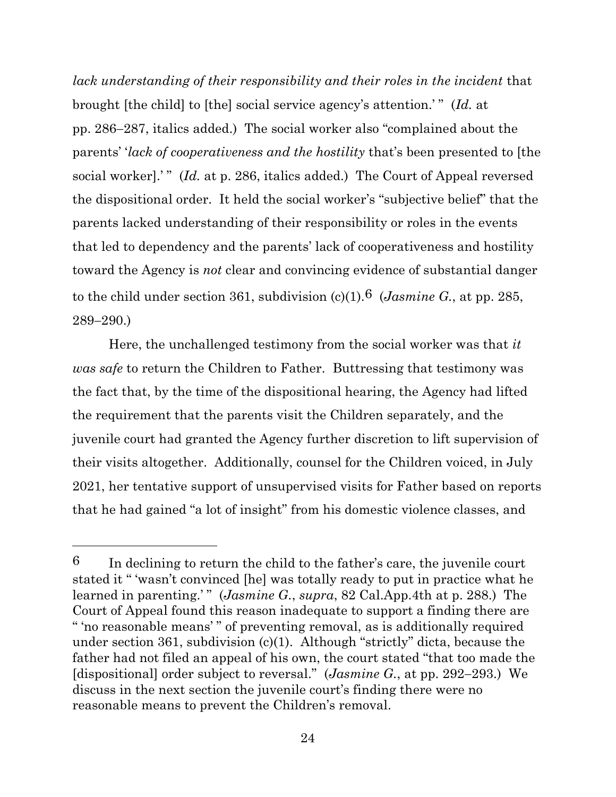*lack understanding of their responsibility and their roles in the incident* that brought [the child] to [the] social service agency's attention.' " (*Id.* at pp. 286−287, italics added.) The social worker also "complained about the parents' '*lack of cooperativeness and the hostility* that's been presented to [the social worker].'" (*Id.* at p. 286, italics added.) The Court of Appeal reversed the dispositional order. It held the social worker's "subjective belief" that the parents lacked understanding of their responsibility or roles in the events that led to dependency and the parents' lack of cooperativeness and hostility toward the Agency is *not* clear and convincing evidence of substantial danger to the child under section 361, subdivision (c)(1).<sup>6</sup> (*Jasmine G.*, at pp. 285, 289−290.)

Here, the unchallenged testimony from the social worker was that *it was safe* to return the Children to Father. Buttressing that testimony was the fact that, by the time of the dispositional hearing, the Agency had lifted the requirement that the parents visit the Children separately, and the juvenile court had granted the Agency further discretion to lift supervision of their visits altogether. Additionally, counsel for the Children voiced, in July 2021, her tentative support of unsupervised visits for Father based on reports that he had gained "a lot of insight" from his domestic violence classes, and

<sup>6</sup> In declining to return the child to the father's care, the juvenile court stated it " 'wasn't convinced [he] was totally ready to put in practice what he learned in parenting.'" (*Jasmine G.*, *supra*, 82 Cal.App.4th at p. 288.) The Court of Appeal found this reason inadequate to support a finding there are " 'no reasonable means' " of preventing removal, as is additionally required under section 361, subdivision (c)(1). Although "strictly" dicta, because the father had not filed an appeal of his own, the court stated "that too made the [dispositional] order subject to reversal." (*Jasmine G.*, at pp. 292−293.) We discuss in the next section the juvenile court's finding there were no reasonable means to prevent the Children's removal.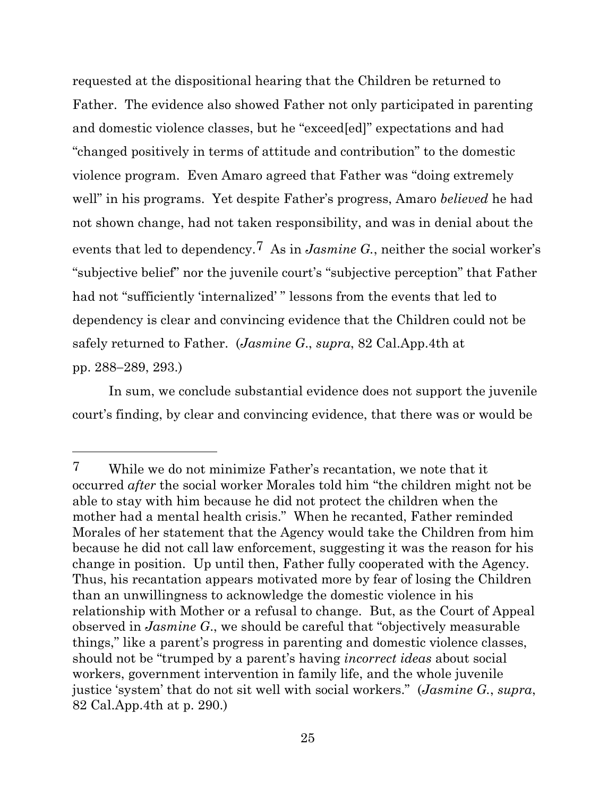requested at the dispositional hearing that the Children be returned to Father. The evidence also showed Father not only participated in parenting and domestic violence classes, but he "exceed[ed]" expectations and had "changed positively in terms of attitude and contribution" to the domestic violence program. Even Amaro agreed that Father was "doing extremely well" in his programs. Yet despite Father's progress, Amaro *believed* he had not shown change, had not taken responsibility, and was in denial about the events that led to dependency.7 As in *Jasmine G.*, neither the social worker's "subjective belief" nor the juvenile court's "subjective perception" that Father had not "sufficiently 'internalized' " lessons from the events that led to dependency is clear and convincing evidence that the Children could not be safely returned to Father. (*Jasmine G*., *supra*, 82 Cal.App.4th at pp. 288−289, 293.)

In sum, we conclude substantial evidence does not support the juvenile court's finding, by clear and convincing evidence, that there was or would be

<sup>7</sup> While we do not minimize Father's recantation, we note that it occurred *after* the social worker Morales told him "the children might not be able to stay with him because he did not protect the children when the mother had a mental health crisis." When he recanted, Father reminded Morales of her statement that the Agency would take the Children from him because he did not call law enforcement, suggesting it was the reason for his change in position. Up until then, Father fully cooperated with the Agency. Thus, his recantation appears motivated more by fear of losing the Children than an unwillingness to acknowledge the domestic violence in his relationship with Mother or a refusal to change. But, as the Court of Appeal observed in *Jasmine G*., we should be careful that "objectively measurable things," like a parent's progress in parenting and domestic violence classes, should not be "trumped by a parent's having *incorrect ideas* about social workers, government intervention in family life, and the whole juvenile justice 'system' that do not sit well with social workers." (*Jasmine G.*, *supra*, 82 Cal.App.4th at p. 290.)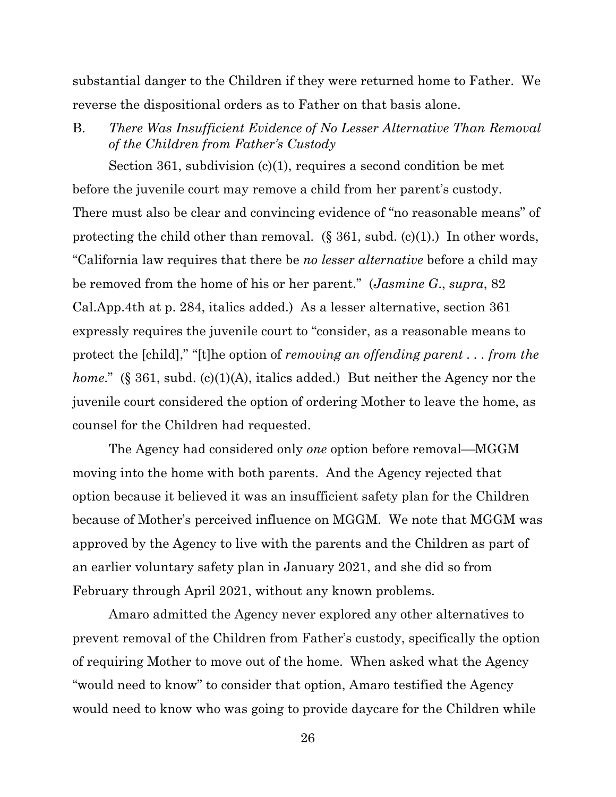substantial danger to the Children if they were returned home to Father. We reverse the dispositional orders as to Father on that basis alone.

B. *There Was Insufficient Evidence of No Lesser Alternative Than Removal of the Children from Father's Custody*

Section 361, subdivision (c)(1), requires a second condition be met before the juvenile court may remove a child from her parent's custody. There must also be clear and convincing evidence of "no reasonable means" of protecting the child other than removal.  $(\S 361, \text{subd.} (c)(1))$  In other words, "California law requires that there be *no lesser alternative* before a child may be removed from the home of his or her parent." (*Jasmine G*., *supra*, 82 Cal.App.4th at p. 284, italics added.) As a lesser alternative, section 361 expressly requires the juvenile court to "consider, as a reasonable means to protect the [child]," "[t]he option of *removing an offending parent . . . from the home.*" (§ 361, subd. (c)(1)(A), italics added.) But neither the Agency nor the juvenile court considered the option of ordering Mother to leave the home, as counsel for the Children had requested.

The Agency had considered only *one* option before removal—MGGM moving into the home with both parents. And the Agency rejected that option because it believed it was an insufficient safety plan for the Children because of Mother's perceived influence on MGGM. We note that MGGM was approved by the Agency to live with the parents and the Children as part of an earlier voluntary safety plan in January 2021, and she did so from February through April 2021, without any known problems.

Amaro admitted the Agency never explored any other alternatives to prevent removal of the Children from Father's custody, specifically the option of requiring Mother to move out of the home. When asked what the Agency "would need to know" to consider that option, Amaro testified the Agency would need to know who was going to provide daycare for the Children while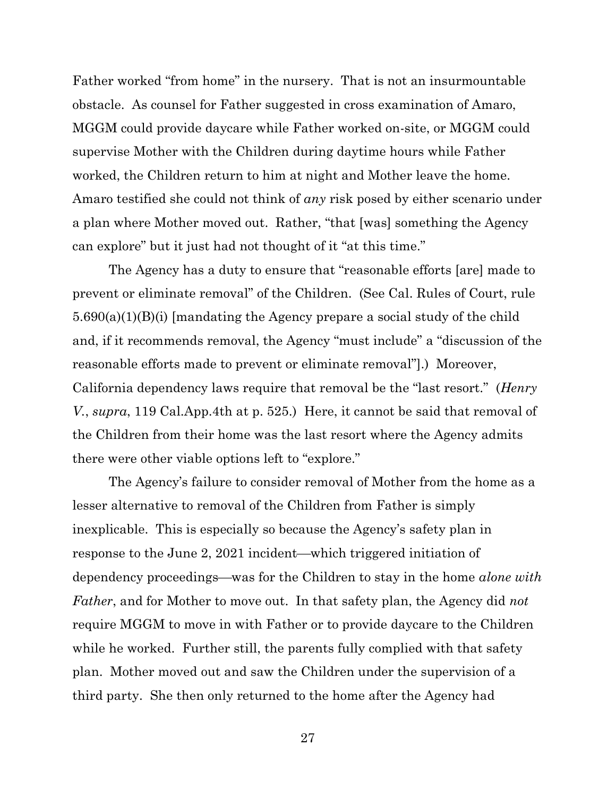Father worked "from home" in the nursery. That is not an insurmountable obstacle. As counsel for Father suggested in cross examination of Amaro, MGGM could provide daycare while Father worked on-site, or MGGM could supervise Mother with the Children during daytime hours while Father worked, the Children return to him at night and Mother leave the home. Amaro testified she could not think of *any* risk posed by either scenario under a plan where Mother moved out. Rather, "that [was] something the Agency can explore" but it just had not thought of it "at this time."

The Agency has a duty to ensure that "reasonable efforts [are] made to prevent or eliminate removal" of the Children. (See Cal. Rules of Court, rule 5.690(a)(1)(B)(i) [mandating the Agency prepare a social study of the child and, if it recommends removal, the Agency "must include" a "discussion of the reasonable efforts made to prevent or eliminate removal"].) Moreover, California dependency laws require that removal be the "last resort." (*Henry V.*, *supra*, 119 Cal.App.4th at p. 525.) Here, it cannot be said that removal of the Children from their home was the last resort where the Agency admits there were other viable options left to "explore."

The Agency's failure to consider removal of Mother from the home as a lesser alternative to removal of the Children from Father is simply inexplicable. This is especially so because the Agency's safety plan in response to the June 2, 2021 incident—which triggered initiation of dependency proceedings—was for the Children to stay in the home *alone* with *Father*, and for Mother to move out. In that safety plan, the Agency did *not*  require MGGM to move in with Father or to provide daycare to the Children while he worked. Further still, the parents fully complied with that safety plan. Mother moved out and saw the Children under the supervision of a third party. She then only returned to the home after the Agency had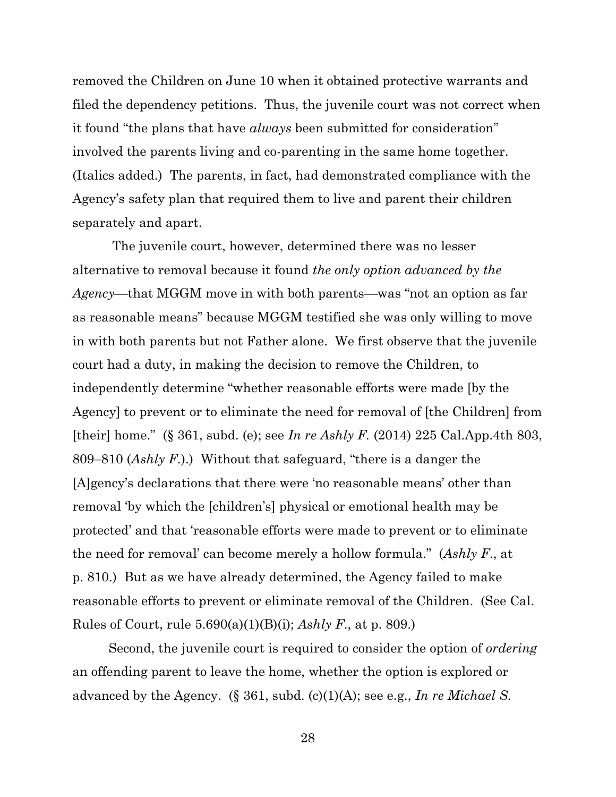removed the Children on June 10 when it obtained protective warrants and filed the dependency petitions. Thus, the juvenile court was not correct when it found "the plans that have *always* been submitted for consideration" involved the parents living and co-parenting in the same home together. (Italics added.) The parents, in fact, had demonstrated compliance with the Agency's safety plan that required them to live and parent their children separately and apart.

The juvenile court, however, determined there was no lesser alternative to removal because it found *the only option advanced by the Agency*—that MGGM move in with both parents—was "not an option as far as reasonable means" because MGGM testified she was only willing to move in with both parents but not Father alone. We first observe that the juvenile court had a duty, in making the decision to remove the Children, to independently determine "whether reasonable efforts were made [by the Agency] to prevent or to eliminate the need for removal of [the Children] from [their] home." (§ 361, subd. (e); see *In re Ashly F.* (2014) 225 Cal.App.4th 803, 809−810 (*Ashly F*.).) Without that safeguard, "there is a danger the [A]gency's declarations that there were 'no reasonable means' other than removal 'by which the [children's] physical or emotional health may be protected' and that 'reasonable efforts were made to prevent or to eliminate the need for removal' can become merely a hollow formula." (*Ashly F*., at p. 810.) But as we have already determined, the Agency failed to make reasonable efforts to prevent or eliminate removal of the Children. (See Cal. Rules of Court, rule 5.690(a)(1)(B)(i); *Ashly F*., at p. 809.)

Second, the juvenile court is required to consider the option of *ordering* an offending parent to leave the home, whether the option is explored or advanced by the Agency. (§ 361, subd. (c)(1)(A); see e.g., *In re Michael S.*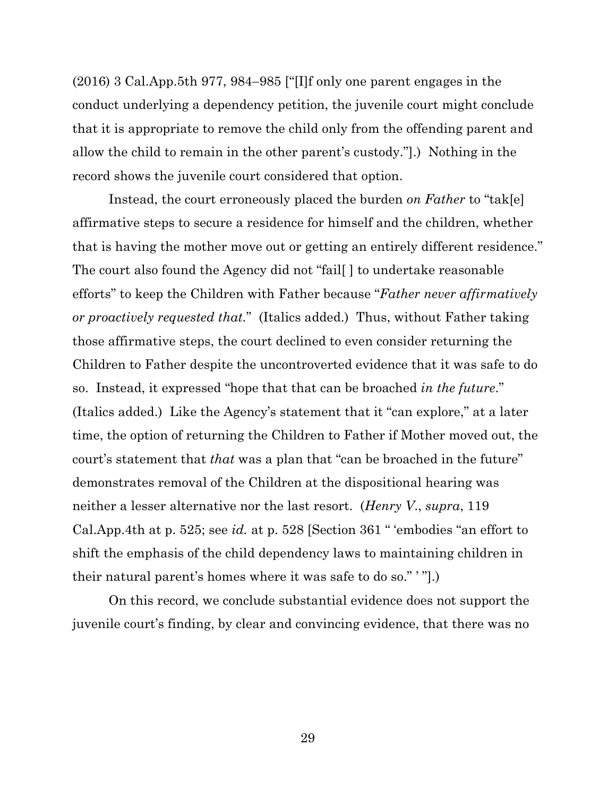(2016) 3 Cal.App.5th 977, 984−985 ["[I]f only one parent engages in the conduct underlying a dependency petition, the juvenile court might conclude that it is appropriate to remove the child only from the offending parent and allow the child to remain in the other parent's custody."].) Nothing in the record shows the juvenile court considered that option.

Instead, the court erroneously placed the burden *on Father* to "tak[e] affirmative steps to secure a residence for himself and the children, whether that is having the mother move out or getting an entirely different residence." The court also found the Agency did not "fail[ ] to undertake reasonable efforts" to keep the Children with Father because "*Father never affirmatively or proactively requested that.*" (Italics added.) Thus, without Father taking those affirmative steps, the court declined to even consider returning the Children to Father despite the uncontroverted evidence that it was safe to do so. Instead, it expressed "hope that that can be broached *in the future*." (Italics added.) Like the Agency's statement that it "can explore," at a later time, the option of returning the Children to Father if Mother moved out, the court's statement that *that* was a plan that "can be broached in the future" demonstrates removal of the Children at the dispositional hearing was neither a lesser alternative nor the last resort. (*Henry V*., *supra*, 119 Cal.App.4th at p. 525; see *id.* at p. 528 [Section 361 " 'embodies "an effort to shift the emphasis of the child dependency laws to maintaining children in their natural parent's homes where it was safe to do so." ' "].)

On this record, we conclude substantial evidence does not support the juvenile court's finding, by clear and convincing evidence, that there was no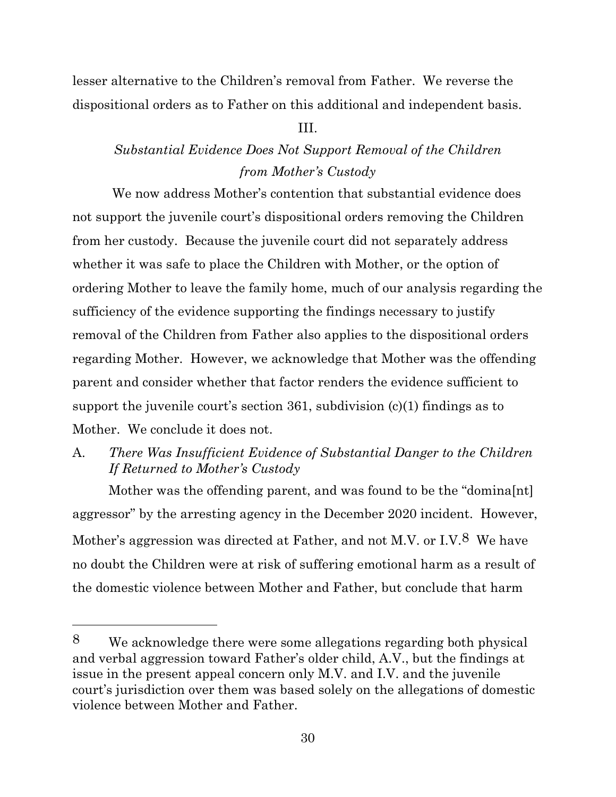lesser alternative to the Children's removal from Father. We reverse the dispositional orders as to Father on this additional and independent basis.

### III.

# *Substantial Evidence Does Not Support Removal of the Children from Mother's Custody*

We now address Mother's contention that substantial evidence does not support the juvenile court's dispositional orders removing the Children from her custody. Because the juvenile court did not separately address whether it was safe to place the Children with Mother, or the option of ordering Mother to leave the family home, much of our analysis regarding the sufficiency of the evidence supporting the findings necessary to justify removal of the Children from Father also applies to the dispositional orders regarding Mother. However, we acknowledge that Mother was the offending parent and consider whether that factor renders the evidence sufficient to support the juvenile court's section 361, subdivision (c)(1) findings as to Mother. We conclude it does not.

A. *There Was Insufficient Evidence of Substantial Danger to the Children If Returned to Mother's Custody*

Mother was the offending parent, and was found to be the "domina[nt] aggressor" by the arresting agency in the December 2020 incident. However, Mother's aggression was directed at Father, and not M.V. or I.V.8 We have no doubt the Children were at risk of suffering emotional harm as a result of the domestic violence between Mother and Father, but conclude that harm

<sup>8</sup> We acknowledge there were some allegations regarding both physical and verbal aggression toward Father's older child, A.V., but the findings at issue in the present appeal concern only M.V. and I.V. and the juvenile court's jurisdiction over them was based solely on the allegations of domestic violence between Mother and Father.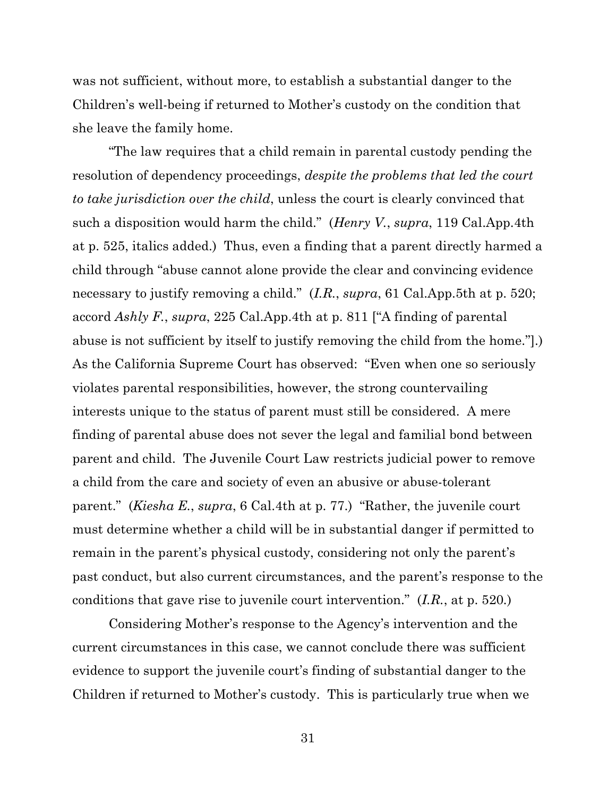was not sufficient, without more, to establish a substantial danger to the Children's well-being if returned to Mother's custody on the condition that she leave the family home.

"The law requires that a child remain in parental custody pending the resolution of dependency proceedings, *despite the problems that led the court to take jurisdiction over the child*, unless the court is clearly convinced that such a disposition would harm the child." (*Henry V.*, *supra*, 119 Cal.App.4th at p. 525, italics added.) Thus, even a finding that a parent directly harmed a child through "abuse cannot alone provide the clear and convincing evidence necessary to justify removing a child." (*I.R.*, *supra*, 61 Cal.App.5th at p. 520; accord *Ashly F.*, *supra*, 225 Cal.App.4th at p. 811 ["A finding of parental abuse is not sufficient by itself to justify removing the child from the home."].) As the California Supreme Court has observed: "Even when one so seriously violates parental responsibilities, however, the strong countervailing interests unique to the status of parent must still be considered. A mere finding of parental abuse does not sever the legal and familial bond between parent and child. The Juvenile Court Law restricts judicial power to remove a child from the care and society of even an abusive or abuse-tolerant parent." (*Kiesha E.*, *supra*, 6 Cal.4th at p. 77.) "Rather, the juvenile court must determine whether a child will be in substantial danger if permitted to remain in the parent's physical custody, considering not only the parent's past conduct, but also current circumstances, and the parent's response to the conditions that gave rise to juvenile court intervention." (*I.R.*, at p. 520*.*)

Considering Mother's response to the Agency's intervention and the current circumstances in this case, we cannot conclude there was sufficient evidence to support the juvenile court's finding of substantial danger to the Children if returned to Mother's custody. This is particularly true when we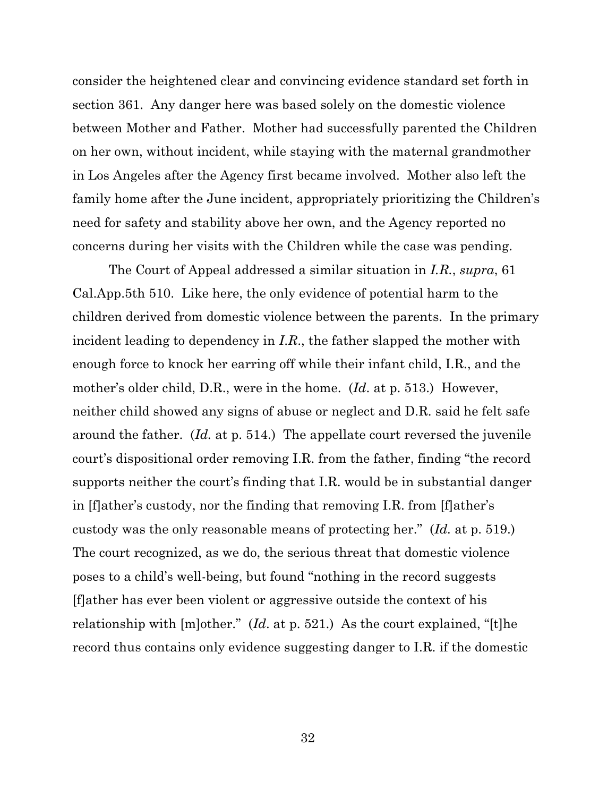consider the heightened clear and convincing evidence standard set forth in section 361. Any danger here was based solely on the domestic violence between Mother and Father. Mother had successfully parented the Children on her own, without incident, while staying with the maternal grandmother in Los Angeles after the Agency first became involved. Mother also left the family home after the June incident, appropriately prioritizing the Children's need for safety and stability above her own, and the Agency reported no concerns during her visits with the Children while the case was pending.

The Court of Appeal addressed a similar situation in *I.R.*, *supra*, 61 Cal.App.5th 510. Like here, the only evidence of potential harm to the children derived from domestic violence between the parents. In the primary incident leading to dependency in *I*.*R*., the father slapped the mother with enough force to knock her earring off while their infant child, I.R., and the mother's older child, D.R., were in the home. (*Id*. at p. 513.) However, neither child showed any signs of abuse or neglect and D.R. said he felt safe around the father. (*Id.* at p. 514.) The appellate court reversed the juvenile court's dispositional order removing I.R. from the father, finding "the record supports neither the court's finding that I.R. would be in substantial danger in [f]ather's custody, nor the finding that removing I.R. from [f]ather's custody was the only reasonable means of protecting her." (*Id.* at p. 519.) The court recognized, as we do, the serious threat that domestic violence poses to a child's well-being, but found "nothing in the record suggests [f]ather has ever been violent or aggressive outside the context of his relationship with [m]other." (*Id*. at p. 521.) As the court explained, "[t]he record thus contains only evidence suggesting danger to I.R. if the domestic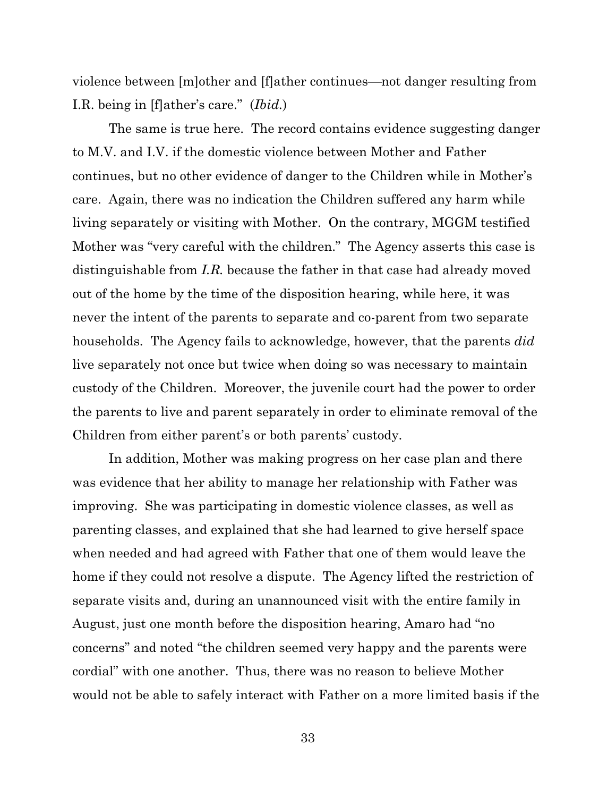violence between [m]other and [f]ather continues—not danger resulting from I.R. being in [f]ather's care." (*Ibid.*)

The same is true here. The record contains evidence suggesting danger to M.V. and I.V. if the domestic violence between Mother and Father continues, but no other evidence of danger to the Children while in Mother's care. Again, there was no indication the Children suffered any harm while living separately or visiting with Mother. On the contrary, MGGM testified Mother was "very careful with the children." The Agency asserts this case is distinguishable from *I.R.* because the father in that case had already moved out of the home by the time of the disposition hearing, while here, it was never the intent of the parents to separate and co-parent from two separate households. The Agency fails to acknowledge, however, that the parents *did* live separately not once but twice when doing so was necessary to maintain custody of the Children. Moreover, the juvenile court had the power to order the parents to live and parent separately in order to eliminate removal of the Children from either parent's or both parents' custody.

In addition, Mother was making progress on her case plan and there was evidence that her ability to manage her relationship with Father was improving. She was participating in domestic violence classes, as well as parenting classes, and explained that she had learned to give herself space when needed and had agreed with Father that one of them would leave the home if they could not resolve a dispute. The Agency lifted the restriction of separate visits and, during an unannounced visit with the entire family in August, just one month before the disposition hearing, Amaro had "no concerns" and noted "the children seemed very happy and the parents were cordial" with one another. Thus, there was no reason to believe Mother would not be able to safely interact with Father on a more limited basis if the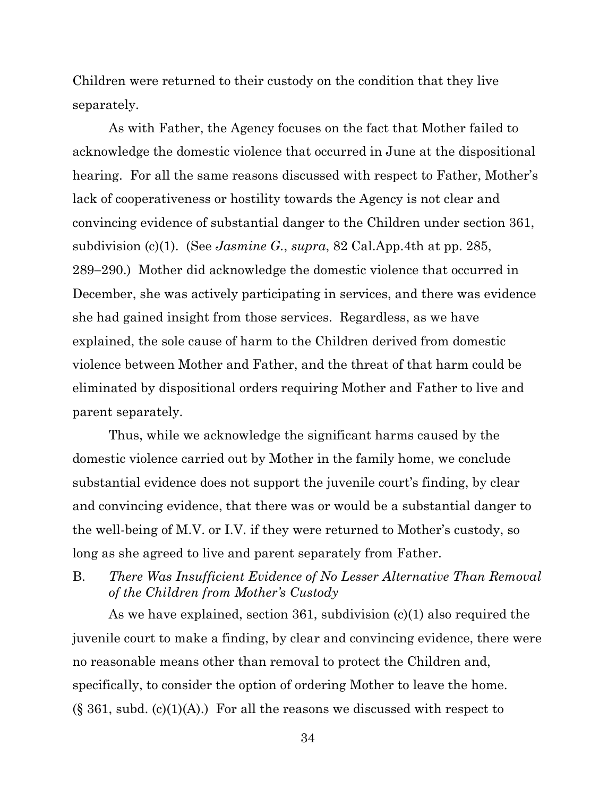Children were returned to their custody on the condition that they live separately.

As with Father, the Agency focuses on the fact that Mother failed to acknowledge the domestic violence that occurred in June at the dispositional hearing. For all the same reasons discussed with respect to Father, Mother's lack of cooperativeness or hostility towards the Agency is not clear and convincing evidence of substantial danger to the Children under section 361, subdivision (c)(1). (See *Jasmine G.*, *supra*, 82 Cal.App.4th at pp. 285, 289−290.) Mother did acknowledge the domestic violence that occurred in December, she was actively participating in services, and there was evidence she had gained insight from those services. Regardless, as we have explained, the sole cause of harm to the Children derived from domestic violence between Mother and Father, and the threat of that harm could be eliminated by dispositional orders requiring Mother and Father to live and parent separately.

Thus, while we acknowledge the significant harms caused by the domestic violence carried out by Mother in the family home, we conclude substantial evidence does not support the juvenile court's finding, by clear and convincing evidence, that there was or would be a substantial danger to the well-being of M.V. or I.V. if they were returned to Mother's custody, so long as she agreed to live and parent separately from Father.

B. *There Was Insufficient Evidence of No Lesser Alternative Than Removal of the Children from Mother's Custody*

As we have explained, section 361, subdivision (c)(1) also required the juvenile court to make a finding, by clear and convincing evidence, there were no reasonable means other than removal to protect the Children and, specifically, to consider the option of ordering Mother to leave the home.  $(\S 361, \text{subd. (c)}(1)(A))$  For all the reasons we discussed with respect to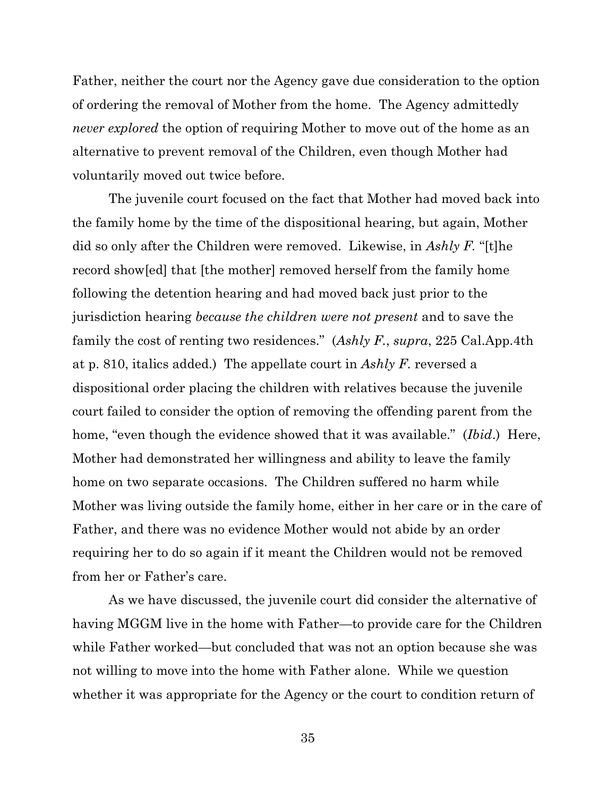Father, neither the court nor the Agency gave due consideration to the option of ordering the removal of Mother from the home. The Agency admittedly *never explored* the option of requiring Mother to move out of the home as an alternative to prevent removal of the Children, even though Mother had voluntarily moved out twice before.

The juvenile court focused on the fact that Mother had moved back into the family home by the time of the dispositional hearing, but again, Mother did so only after the Children were removed. Likewise, in *Ashly F.* "[t]he record show[ed] that [the mother] removed herself from the family home following the detention hearing and had moved back just prior to the jurisdiction hearing *because the children were not present* and to save the family the cost of renting two residences." (*Ashly F.*, *supra*, 225 Cal.App.4th at p. 810, italics added.) The appellate court in *Ashly F*. reversed a dispositional order placing the children with relatives because the juvenile court failed to consider the option of removing the offending parent from the home, "even though the evidence showed that it was available." (*Ibid*.) Here, Mother had demonstrated her willingness and ability to leave the family home on two separate occasions. The Children suffered no harm while Mother was living outside the family home, either in her care or in the care of Father, and there was no evidence Mother would not abide by an order requiring her to do so again if it meant the Children would not be removed from her or Father's care.

As we have discussed, the juvenile court did consider the alternative of having MGGM live in the home with Father—to provide care for the Children while Father worked—but concluded that was not an option because she was not willing to move into the home with Father alone. While we question whether it was appropriate for the Agency or the court to condition return of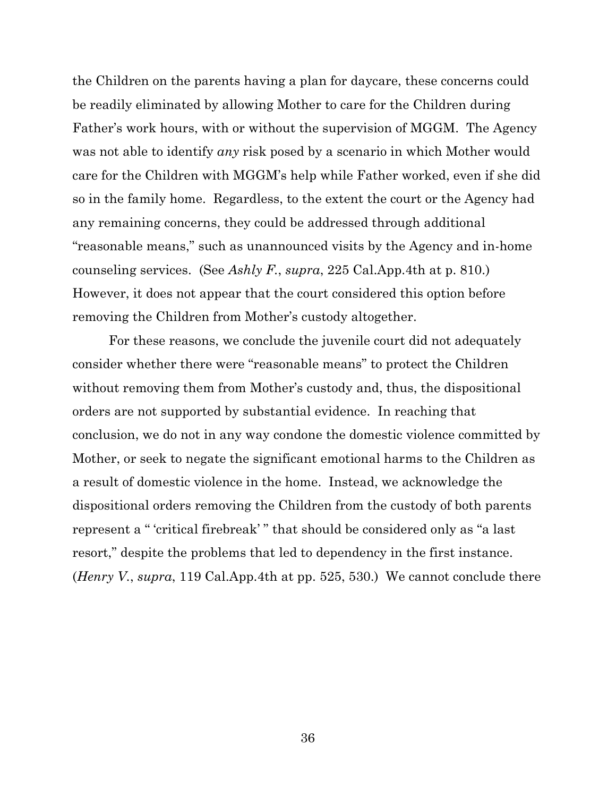the Children on the parents having a plan for daycare, these concerns could be readily eliminated by allowing Mother to care for the Children during Father's work hours, with or without the supervision of MGGM. The Agency was not able to identify *any* risk posed by a scenario in which Mother would care for the Children with MGGM's help while Father worked, even if she did so in the family home. Regardless, to the extent the court or the Agency had any remaining concerns, they could be addressed through additional "reasonable means," such as unannounced visits by the Agency and in-home counseling services. (See *Ashly F.*, *supra*, 225 Cal.App.4th at p. 810.) However, it does not appear that the court considered this option before removing the Children from Mother's custody altogether.

For these reasons, we conclude the juvenile court did not adequately consider whether there were "reasonable means" to protect the Children without removing them from Mother's custody and, thus, the dispositional orders are not supported by substantial evidence. In reaching that conclusion, we do not in any way condone the domestic violence committed by Mother, or seek to negate the significant emotional harms to the Children as a result of domestic violence in the home. Instead, we acknowledge the dispositional orders removing the Children from the custody of both parents represent a " 'critical firebreak' " that should be considered only as "a last resort," despite the problems that led to dependency in the first instance. (*Henry V.*, *supra*, 119 Cal.App.4th at pp. 525, 530.) We cannot conclude there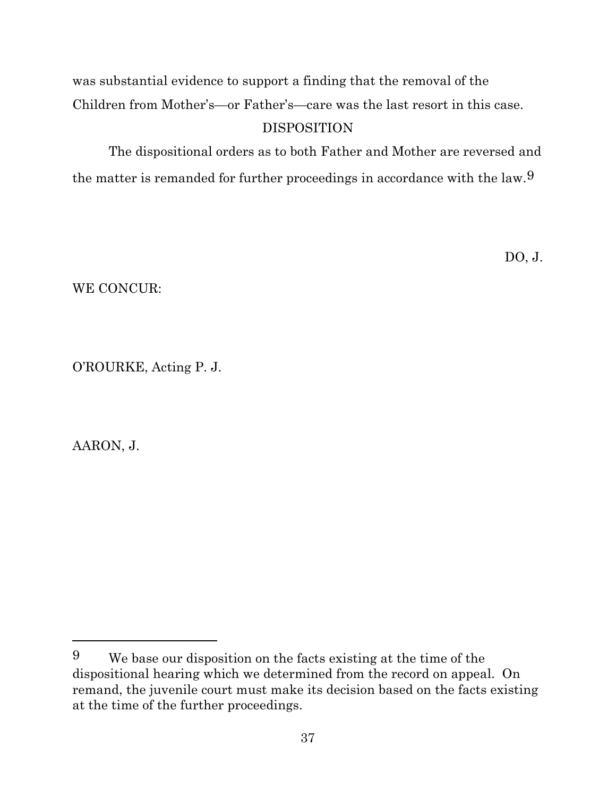was substantial evidence to support a finding that the removal of the Children from Mother's—or Father's—care was the last resort in this case. DISPOSITION

The dispositional orders as to both Father and Mother are reversed and the matter is remanded for further proceedings in accordance with the law.9

DO, J.

WE CONCUR:

O'ROURKE, Acting P. J.

AARON, J.

<sup>9</sup> We base our disposition on the facts existing at the time of the dispositional hearing which we determined from the record on appeal. On remand, the juvenile court must make its decision based on the facts existing at the time of the further proceedings.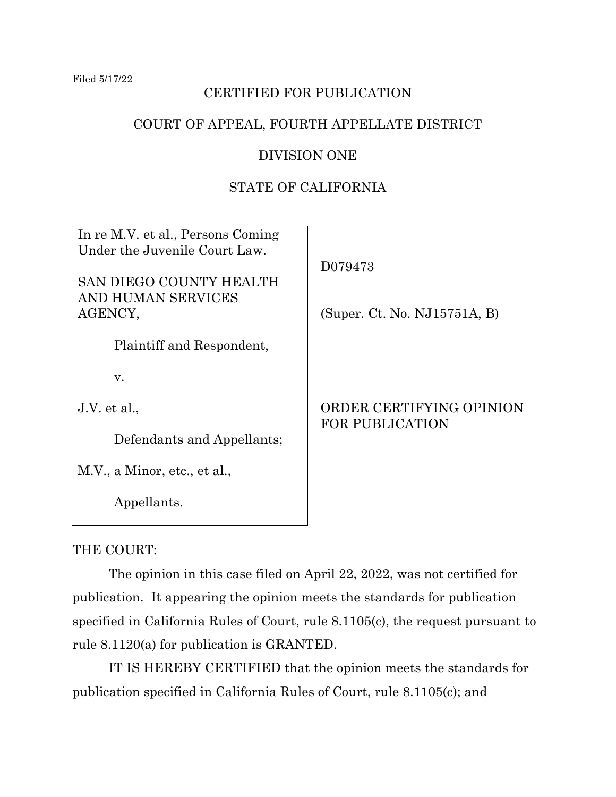Filed 5/17/22

## CERTIFIED FOR PUBLICATION

## COURT OF APPEAL, FOURTH APPELLATE DISTRICT

## DIVISION ONE

## STATE OF CALIFORNIA

| In re M.V. et al., Persons Coming<br>Under the Juvenile Court Law. |                                                    |
|--------------------------------------------------------------------|----------------------------------------------------|
| SAN DIEGO COUNTY HEALTH<br>AND HUMAN SERVICES<br>AGENCY,           | D079473<br>(Super. Ct. No. NJ15751A, B)            |
| Plaintiff and Respondent,                                          |                                                    |
| V.                                                                 |                                                    |
| J.V. et al.,                                                       | ORDER CERTIFYING OPINION<br><b>FOR PUBLICATION</b> |
| Defendants and Appellants;                                         |                                                    |
| M.V., a Minor, etc., et al.,                                       |                                                    |
| Appellants.                                                        |                                                    |

## THE COURT:

The opinion in this case filed on April 22, 2022, was not certified for publication. It appearing the opinion meets the standards for publication specified in California Rules of Court, rule 8.1105(c), the request pursuant to rule 8.1120(a) for publication is GRANTED.

IT IS HEREBY CERTIFIED that the opinion meets the standards for publication specified in California Rules of Court, rule 8.1105(c); and